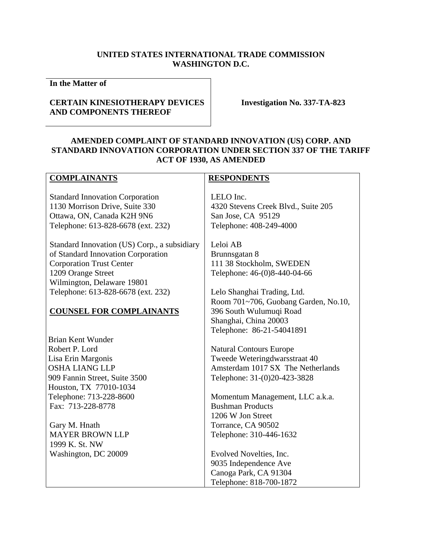# **UNITED STATES INTERNATIONAL TRADE COMMISSION WASHINGTON D.C.**

**In the Matter of** 

# **CERTAIN KINESIOTHERAPY DEVICES AND COMPONENTS THEREOF**

**Investigation No. 337-TA-823** 

# **AMENDED COMPLAINT OF STANDARD INNOVATION (US) CORP. AND STANDARD INNOVATION CORPORATION UNDER SECTION 337 OF THE TARIFF ACT OF 1930, AS AMENDED**

# **COMPLAINANTS**

Standard Innovation Corporation 1130 Morrison Drive, Suite 330 Ottawa, ON, Canada K2H 9N6 Telephone: 613-828-6678 (ext. 232)

Standard Innovation (US) Corp., a subsidiary of Standard Innovation Corporation Corporation Trust Center 1209 Orange Street Wilmington, Delaware 19801 Telephone: 613-828-6678 (ext. 232)

# **COUNSEL FOR COMPLAINANTS**

Brian Kent Wunder Robert P. Lord Lisa Erin Margonis OSHA LIANG LLP 909 Fannin Street, Suite 3500 Houston, TX 77010-1034 Telephone: 713-228-8600 Fax: 713-228-8778

Gary M. Hnath MAYER BROWN LLP 1999 K. St. NW Washington, DC 20009

# **RESPONDENTS**

LELO Inc. 4320 Stevens Creek Blvd., Suite 205 San Jose, CA 95129 Telephone: 408-249-4000

Leloi AB Brunnsgatan 8 111 38 Stockholm, SWEDEN Telephone: 46-(0)8-440-04-66

Lelo Shanghai Trading, Ltd. Room 701~706, Guobang Garden, No.10, 396 South Wulumuqi Road Shanghai, China 20003 Telephone: 86-21-54041891

Natural Contours Europe Tweede Weteringdwarsstraat 40 Amsterdam 1017 SX The Netherlands Telephone: 31-(0)20-423-3828

Momentum Management, LLC a.k.a. Bushman Products 1206 W Jon Street Torrance, CA 90502 Telephone: 310-446-1632

Evolved Novelties, Inc. 9035 Independence Ave Canoga Park, CA 91304 Telephone: 818-700-1872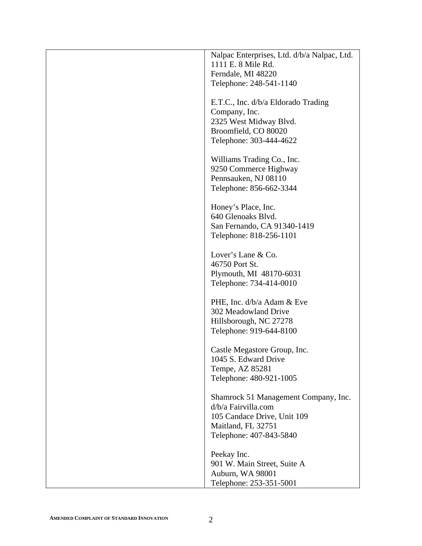| Nalpac Enterprises, Ltd. d/b/a Nalpac, Ltd. |
|---------------------------------------------|
| 1111 E. 8 Mile Rd.                          |
| Ferndale, MI 48220                          |
| Telephone: 248-541-1140                     |
| E.T.C., Inc. d/b/a Eldorado Trading         |
| Company, Inc.                               |
| 2325 West Midway Blvd.                      |
| Broomfield, CO 80020                        |
| Telephone: 303-444-4622                     |
| Williams Trading Co., Inc.                  |
| 9250 Commerce Highway                       |
| Pennsauken, NJ 08110                        |
| Telephone: 856-662-3344                     |
| Honey's Place, Inc.                         |
| 640 Glenoaks Blvd.                          |
| San Fernando, CA 91340-1419                 |
| Telephone: 818-256-1101                     |
| Lover's Lane & Co.                          |
| 46750 Port St.                              |
| Plymouth, MI 48170-6031                     |
| Telephone: 734-414-0010                     |
| PHE, Inc. d/b/a Adam & Eve                  |
| 302 Meadowland Drive                        |
| Hillsborough, NC 27278                      |
| Telephone: 919-644-8100                     |
| Castle Megastore Group, Inc.                |
| 1045 S. Edward Drive                        |
| Tempe, AZ 85281                             |
| Telephone: 480-921-1005                     |
| Shamrock 51 Management Company, Inc.        |
| d/b/a Fairvilla.com                         |
| 105 Candace Drive, Unit 109                 |
| Maitland, FL 32751                          |
| Telephone: 407-843-5840                     |
| Peekay Inc.                                 |
| 901 W. Main Street, Suite A                 |
| Auburn, WA 98001                            |
| Telephone: 253-351-5001                     |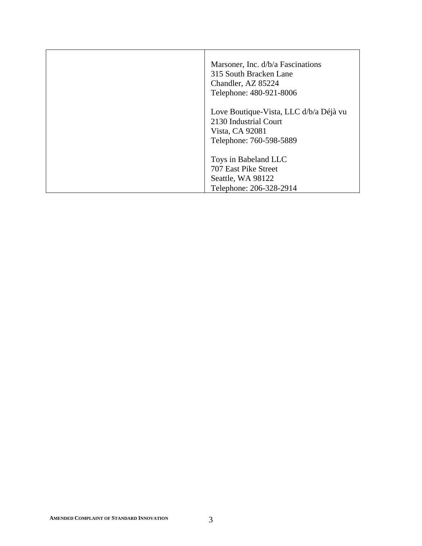| Marsoner, Inc. d/b/a Fascinations<br>315 South Bracken Lane<br>Chandler, AZ 85224<br>Telephone: 480-921-8006  |
|---------------------------------------------------------------------------------------------------------------|
| Love Boutique-Vista, LLC d/b/a Déjà vu<br>2130 Industrial Court<br>Vista, CA 92081<br>Telephone: 760-598-5889 |
| Toys in Babeland LLC<br>707 East Pike Street<br>Seattle, WA 98122<br>Telephone: 206-328-2914                  |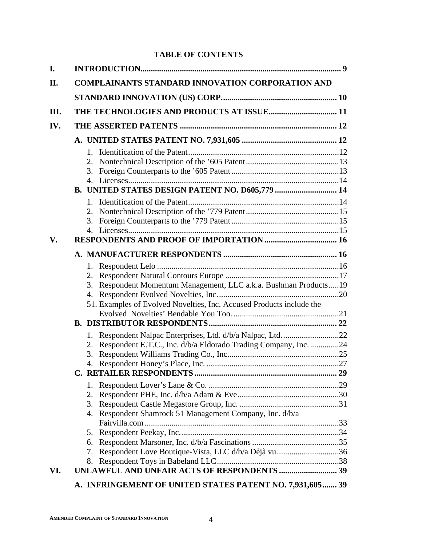# **TABLE OF CONTENTS**

| I.   |                                                                       |  |  |  |
|------|-----------------------------------------------------------------------|--|--|--|
| II.  | <b>COMPLAINANTS STANDARD INNOVATION CORPORATION AND</b>               |  |  |  |
|      |                                                                       |  |  |  |
| III. |                                                                       |  |  |  |
| IV.  |                                                                       |  |  |  |
|      |                                                                       |  |  |  |
|      |                                                                       |  |  |  |
|      |                                                                       |  |  |  |
|      |                                                                       |  |  |  |
|      |                                                                       |  |  |  |
|      |                                                                       |  |  |  |
|      |                                                                       |  |  |  |
|      | 2.                                                                    |  |  |  |
|      |                                                                       |  |  |  |
|      |                                                                       |  |  |  |
| V.   |                                                                       |  |  |  |
|      |                                                                       |  |  |  |
|      |                                                                       |  |  |  |
|      |                                                                       |  |  |  |
|      | Respondent Momentum Management, LLC a.k.a. Bushman Products19<br>3.   |  |  |  |
|      |                                                                       |  |  |  |
|      | 51. Examples of Evolved Novelties, Inc. Accused Products include the  |  |  |  |
|      |                                                                       |  |  |  |
|      |                                                                       |  |  |  |
|      | 1. Respondent Nalpac Enterprises, Ltd. d/b/a Nalpac, Ltd22            |  |  |  |
|      | Respondent E.T.C., Inc. d/b/a Eldorado Trading Company, Inc. 24<br>2. |  |  |  |
|      | 3.                                                                    |  |  |  |
|      | 4.                                                                    |  |  |  |
|      | С.                                                                    |  |  |  |
|      | 1.                                                                    |  |  |  |
|      | 2.                                                                    |  |  |  |
|      | 3.                                                                    |  |  |  |
|      | Respondent Shamrock 51 Management Company, Inc. d/b/a<br>4.           |  |  |  |
|      | 5.                                                                    |  |  |  |
|      | 6.                                                                    |  |  |  |
|      | Respondent Love Boutique-Vista, LLC d/b/a Déjà vu 36<br>7.            |  |  |  |
|      | 8.                                                                    |  |  |  |
| VI.  |                                                                       |  |  |  |
|      | A. INFRINGEMENT OF UNITED STATES PATENT NO. 7,931,605 39              |  |  |  |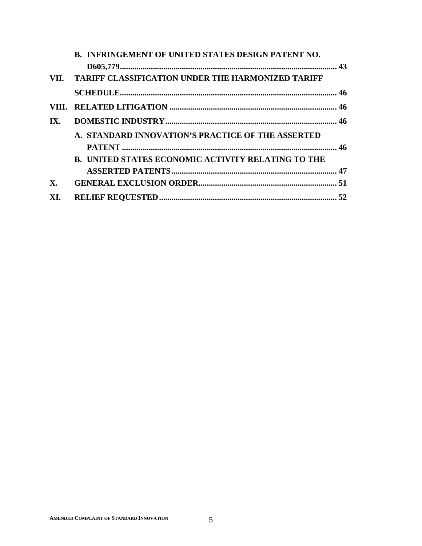|                | <b>B. INFRINGEMENT OF UNITED STATES DESIGN PATENT NO.</b> |  |
|----------------|-----------------------------------------------------------|--|
|                |                                                           |  |
|                | VII. TARIFF CLASSIFICATION UNDER THE HARMONIZED TARIFF    |  |
|                |                                                           |  |
|                |                                                           |  |
| IX.            |                                                           |  |
|                | A. STANDARD INNOVATION'S PRACTICE OF THE ASSERTED         |  |
|                |                                                           |  |
|                | <b>B. UNITED STATES ECONOMIC ACTIVITY RELATING TO THE</b> |  |
|                |                                                           |  |
| $\mathbf{X}$ . |                                                           |  |
| XI.            |                                                           |  |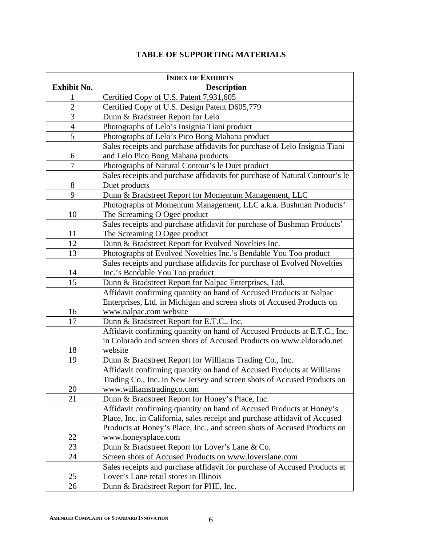|  | <b>TABLE OF SUPPORTING MATERIALS</b> |
|--|--------------------------------------|
|--|--------------------------------------|

| <b>INDEX OF EXHIBITS</b> |                                                                                                                     |  |  |
|--------------------------|---------------------------------------------------------------------------------------------------------------------|--|--|
| Exhibit No.              | <b>Description</b>                                                                                                  |  |  |
| 1                        | Certified Copy of U.S. Patent 7,931,605                                                                             |  |  |
| $\overline{2}$           | Certified Copy of U.S. Design Patent D605,779                                                                       |  |  |
| 3                        | Dunn & Bradstreet Report for Lelo                                                                                   |  |  |
| $\overline{4}$           | Photographs of Lelo's Insignia Tiani product                                                                        |  |  |
| 5                        | Photographs of Lelo's Pico Bong Mahana product                                                                      |  |  |
|                          | Sales receipts and purchase affidavits for purchase of Lelo Insignia Tiani                                          |  |  |
| 6                        | and Lelo Pico Bong Mahana products                                                                                  |  |  |
| 7                        | Photographs of Natural Contour's le Duet product                                                                    |  |  |
|                          | Sales receipts and purchase affidavits for purchase of Natural Contour's le                                         |  |  |
| 8                        | Duet products                                                                                                       |  |  |
| 9                        | Dunn & Bradstreet Report for Momentum Management, LLC                                                               |  |  |
|                          | Photographs of Momentum Management, LLC a.k.a. Bushman Products'                                                    |  |  |
| 10                       | The Screaming O Ogee product                                                                                        |  |  |
|                          | Sales receipts and purchase affidavit for purchase of Bushman Products'                                             |  |  |
| 11                       | The Screaming O Ogee product                                                                                        |  |  |
| 12                       | Dunn & Bradstreet Report for Evolved Novelties Inc.                                                                 |  |  |
| 13                       | Photographs of Evolved Novelties Inc.'s Bendable You Too product                                                    |  |  |
|                          | Sales receipts and purchase affidavits for purchase of Evolved Novelties                                            |  |  |
| 14                       | Inc.'s Bendable You Too product                                                                                     |  |  |
| 15                       | Dunn & Bradstreet Report for Nalpac Enterprises, Ltd.                                                               |  |  |
|                          | Affidavit confirming quantity on hand of Accused Products at Nalpac                                                 |  |  |
|                          | Enterprises, Ltd. in Michigan and screen shots of Accused Products on                                               |  |  |
| 16                       | www.nalpac.com website                                                                                              |  |  |
| 17                       | Dunn & Bradstreet Report for E.T.C., Inc.                                                                           |  |  |
|                          | Affidavit confirming quantity on hand of Accused Products at E.T.C., Inc.                                           |  |  |
|                          | in Colorado and screen shots of Accused Products on www.eldorado.net                                                |  |  |
| 18                       | website                                                                                                             |  |  |
| 19                       | Dunn & Bradstreet Report for Williams Trading Co., Inc.                                                             |  |  |
|                          | Affidavit confirming quantity on hand of Accused Products at Williams                                               |  |  |
|                          | Trading Co., Inc. in New Jersey and screen shots of Accused Products on                                             |  |  |
| 20                       | www.williamstradingco.com                                                                                           |  |  |
| 21                       | Dunn & Bradstreet Report for Honey's Place, Inc.                                                                    |  |  |
|                          | Affidavit confirming quantity on hand of Accused Products at Honey's                                                |  |  |
|                          | Place, Inc. in California, sales receipt and purchase affidavit of Accused                                          |  |  |
|                          | Products at Honey's Place, Inc., and screen shots of Accused Products on                                            |  |  |
| 22<br>23                 | www.honeysplace.com                                                                                                 |  |  |
| 24                       | Dunn & Bradstreet Report for Lover's Lane & Co.<br>Screen shots of Accused Products on www.loverslane.com           |  |  |
|                          |                                                                                                                     |  |  |
|                          | Sales receipts and purchase affidavit for purchase of Accused Products at<br>Lover's Lane retail stores in Illinois |  |  |
| 25                       |                                                                                                                     |  |  |
| 26                       | Dunn & Bradstreet Report for PHE, Inc.                                                                              |  |  |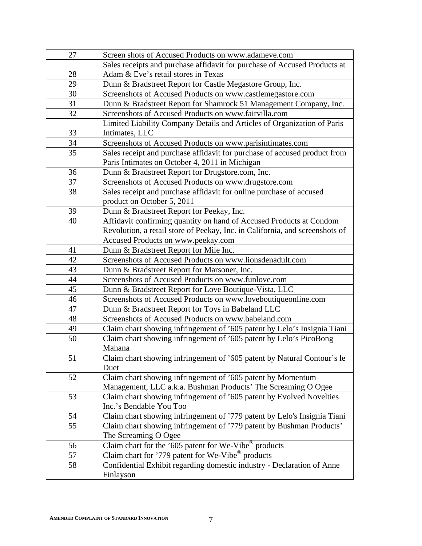| 27 | Screen shots of Accused Products on www.adameve.com                          |  |  |
|----|------------------------------------------------------------------------------|--|--|
|    | Sales receipts and purchase affidavit for purchase of Accused Products at    |  |  |
| 28 | Adam & Eve's retail stores in Texas                                          |  |  |
| 29 | Dunn & Bradstreet Report for Castle Megastore Group, Inc.                    |  |  |
| 30 | Screenshots of Accused Products on www.castlemegastore.com                   |  |  |
| 31 | Dunn & Bradstreet Report for Shamrock 51 Management Company, Inc.            |  |  |
| 32 | Screenshots of Accused Products on www.fairvilla.com                         |  |  |
|    | Limited Liability Company Details and Articles of Organization of Paris      |  |  |
| 33 | Intimates, LLC                                                               |  |  |
| 34 | Screenshots of Accused Products on www.parisintimates.com                    |  |  |
| 35 | Sales receipt and purchase affidavit for purchase of accused product from    |  |  |
|    | Paris Intimates on October 4, 2011 in Michigan                               |  |  |
| 36 | Dunn & Bradstreet Report for Drugstore.com, Inc.                             |  |  |
| 37 | Screenshots of Accused Products on www.drugstore.com                         |  |  |
| 38 | Sales receipt and purchase affidavit for online purchase of accused          |  |  |
|    | product on October 5, 2011                                                   |  |  |
| 39 | Dunn & Bradstreet Report for Peekay, Inc.                                    |  |  |
| 40 | Affidavit confirming quantity on hand of Accused Products at Condom          |  |  |
|    | Revolution, a retail store of Peekay, Inc. in California, and screenshots of |  |  |
|    | Accused Products on www.peekay.com                                           |  |  |
| 41 | Dunn & Bradstreet Report for Mile Inc.                                       |  |  |
| 42 | Screenshots of Accused Products on www.lionsdenadult.com                     |  |  |
| 43 | Dunn & Bradstreet Report for Marsoner, Inc.                                  |  |  |
| 44 | Screenshots of Accused Products on www.funlove.com                           |  |  |
| 45 | Dunn & Bradstreet Report for Love Boutique-Vista, LLC                        |  |  |
| 46 | Screenshots of Accused Products on www.loveboutiqueonline.com                |  |  |
| 47 | Dunn & Bradstreet Report for Toys in Babeland LLC                            |  |  |
| 48 | Screenshots of Accused Products on www.babeland.com                          |  |  |
| 49 | Claim chart showing infringement of '605 patent by Lelo's Insignia Tiani     |  |  |
| 50 | Claim chart showing infringement of '605 patent by Lelo's PicoBong           |  |  |
|    | Mahana                                                                       |  |  |
| 51 | Claim chart showing infringement of '605 patent by Natural Contour's le      |  |  |
|    | Duet                                                                         |  |  |
| 52 | Claim chart showing infringement of '605 patent by Momentum                  |  |  |
|    | Management, LLC a.k.a. Bushman Products' The Screaming O Ogee                |  |  |
| 53 | Claim chart showing infringement of '605 patent by Evolved Novelties         |  |  |
|    | Inc.'s Bendable You Too                                                      |  |  |
| 54 | Claim chart showing infringement of '779 patent by Lelo's Insignia Tiani     |  |  |
| 55 | Claim chart showing infringement of '779 patent by Bushman Products'         |  |  |
|    | The Screaming O Ogee                                                         |  |  |
| 56 | Claim chart for the '605 patent for We-Vibe $\overline{^{\circ}}$ products   |  |  |
| 57 | Claim chart for '779 patent for We-Vibe <sup>®</sup> products                |  |  |
| 58 | Confidential Exhibit regarding domestic industry - Declaration of Anne       |  |  |
|    | Finlayson                                                                    |  |  |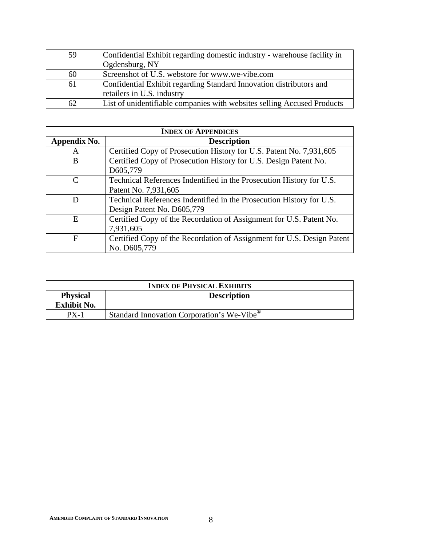| 59 | Confidential Exhibit regarding domestic industry - warehouse facility in |
|----|--------------------------------------------------------------------------|
|    | Ogdensburg, NY                                                           |
| 60 | Screenshot of U.S. webstore for www.we-vibe.com                          |
| 61 | Confidential Exhibit regarding Standard Innovation distributors and      |
|    | retailers in U.S. industry                                               |
| 62 | List of unidentifiable companies with websites selling Accused Products  |

| <b>INDEX OF APPENDICES</b> |                                                                        |  |
|----------------------------|------------------------------------------------------------------------|--|
| Appendix No.               | <b>Description</b>                                                     |  |
| A                          | Certified Copy of Prosecution History for U.S. Patent No. 7,931,605    |  |
| B                          | Certified Copy of Prosecution History for U.S. Design Patent No.       |  |
|                            | D605,779                                                               |  |
| C                          | Technical References Indentified in the Prosecution History for U.S.   |  |
|                            | Patent No. 7,931,605                                                   |  |
| D                          | Technical References Indentified in the Prosecution History for U.S.   |  |
|                            | Design Patent No. D605,779                                             |  |
| E                          | Certified Copy of the Recordation of Assignment for U.S. Patent No.    |  |
|                            | 7,931,605                                                              |  |
| F                          | Certified Copy of the Recordation of Assignment for U.S. Design Patent |  |
|                            | No. D605,779                                                           |  |

| <b>INDEX OF PHYSICAL EXHIBITS</b> |                                                        |  |
|-----------------------------------|--------------------------------------------------------|--|
| <b>Physical</b>                   | <b>Description</b>                                     |  |
| <b>Exhibit No.</b>                |                                                        |  |
| $PX-1$                            | Standard Innovation Corporation's We-Vibe <sup>®</sup> |  |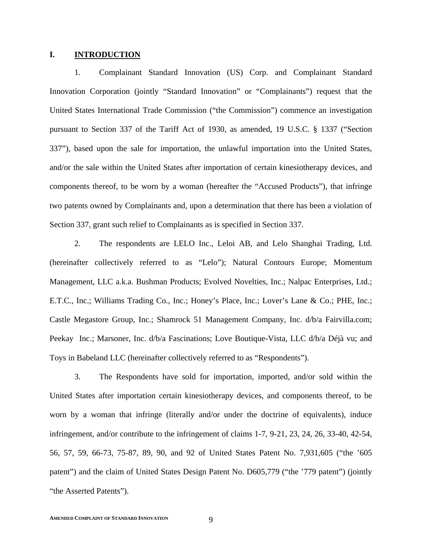#### **I. INTRODUCTION**

1. Complainant Standard Innovation (US) Corp. and Complainant Standard Innovation Corporation (jointly "Standard Innovation" or "Complainants") request that the United States International Trade Commission ("the Commission") commence an investigation pursuant to Section 337 of the Tariff Act of 1930, as amended, 19 U.S.C. § 1337 ("Section 337"), based upon the sale for importation, the unlawful importation into the United States, and/or the sale within the United States after importation of certain kinesiotherapy devices, and components thereof, to be worn by a woman (hereafter the "Accused Products"), that infringe two patents owned by Complainants and, upon a determination that there has been a violation of Section 337, grant such relief to Complainants as is specified in Section 337.

2. The respondents are LELO Inc., Leloi AB, and Lelo Shanghai Trading, Ltd. (hereinafter collectively referred to as "Lelo"); Natural Contours Europe; Momentum Management, LLC a.k.a. Bushman Products; Evolved Novelties, Inc.; Nalpac Enterprises, Ltd.; E.T.C., Inc.; Williams Trading Co., Inc.; Honey's Place, Inc.; Lover's Lane & Co.; PHE, Inc.; Castle Megastore Group, Inc.; Shamrock 51 Management Company, Inc. d/b/a Fairvilla.com; Peekay Inc.; Marsoner, Inc. d/b/a Fascinations; Love Boutique-Vista, LLC d/b/a Déjà vu; and Toys in Babeland LLC (hereinafter collectively referred to as "Respondents").

3. The Respondents have sold for importation, imported, and/or sold within the United States after importation certain kinesiotherapy devices, and components thereof, to be worn by a woman that infringe (literally and/or under the doctrine of equivalents), induce infringement, and/or contribute to the infringement of claims 1-7, 9-21, 23, 24, 26, 33-40, 42-54, 56, 57, 59, 66-73, 75-87, 89, 90, and 92 of United States Patent No. 7,931,605 ("the '605 patent") and the claim of United States Design Patent No. D605,779 ("the '779 patent") (jointly "the Asserted Patents").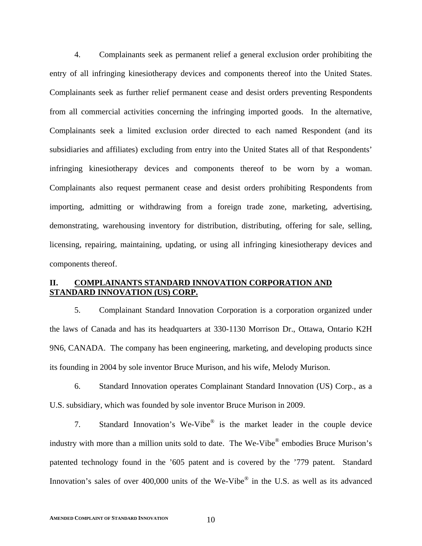4. Complainants seek as permanent relief a general exclusion order prohibiting the entry of all infringing kinesiotherapy devices and components thereof into the United States. Complainants seek as further relief permanent cease and desist orders preventing Respondents from all commercial activities concerning the infringing imported goods. In the alternative, Complainants seek a limited exclusion order directed to each named Respondent (and its subsidiaries and affiliates) excluding from entry into the United States all of that Respondents' infringing kinesiotherapy devices and components thereof to be worn by a woman. Complainants also request permanent cease and desist orders prohibiting Respondents from importing, admitting or withdrawing from a foreign trade zone, marketing, advertising, demonstrating, warehousing inventory for distribution, distributing, offering for sale, selling, licensing, repairing, maintaining, updating, or using all infringing kinesiotherapy devices and components thereof.

# **II. COMPLAINANTS STANDARD INNOVATION CORPORATION AND STANDARD INNOVATION (US) CORP.**

5. Complainant Standard Innovation Corporation is a corporation organized under the laws of Canada and has its headquarters at 330-1130 Morrison Dr., Ottawa, Ontario K2H 9N6, CANADA. The company has been engineering, marketing, and developing products since its founding in 2004 by sole inventor Bruce Murison, and his wife, Melody Murison.

6. Standard Innovation operates Complainant Standard Innovation (US) Corp., as a U.S. subsidiary, which was founded by sole inventor Bruce Murison in 2009.

7. Standard Innovation's We-Vibe® is the market leader in the couple device industry with more than a million units sold to date. The We-Vibe<sup>®</sup> embodies Bruce Murison's patented technology found in the '605 patent and is covered by the '779 patent. Standard Innovation's sales of over 400,000 units of the We-Vibe<sup>®</sup> in the U.S. as well as its advanced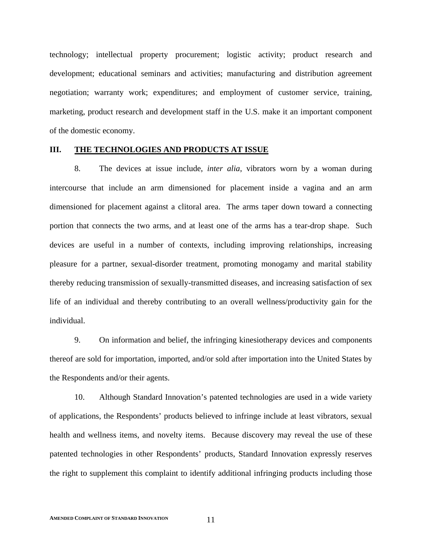technology; intellectual property procurement; logistic activity; product research and development; educational seminars and activities; manufacturing and distribution agreement negotiation; warranty work; expenditures; and employment of customer service, training, marketing, product research and development staff in the U.S. make it an important component of the domestic economy.

#### **III. THE TECHNOLOGIES AND PRODUCTS AT ISSUE**

8. The devices at issue include, *inter alia*, vibrators worn by a woman during intercourse that include an arm dimensioned for placement inside a vagina and an arm dimensioned for placement against a clitoral area. The arms taper down toward a connecting portion that connects the two arms, and at least one of the arms has a tear-drop shape. Such devices are useful in a number of contexts, including improving relationships, increasing pleasure for a partner, sexual-disorder treatment, promoting monogamy and marital stability thereby reducing transmission of sexually-transmitted diseases, and increasing satisfaction of sex life of an individual and thereby contributing to an overall wellness/productivity gain for the individual.

9. On information and belief, the infringing kinesiotherapy devices and components thereof are sold for importation, imported, and/or sold after importation into the United States by the Respondents and/or their agents.

10. Although Standard Innovation's patented technologies are used in a wide variety of applications, the Respondents' products believed to infringe include at least vibrators, sexual health and wellness items, and novelty items. Because discovery may reveal the use of these patented technologies in other Respondents' products, Standard Innovation expressly reserves the right to supplement this complaint to identify additional infringing products including those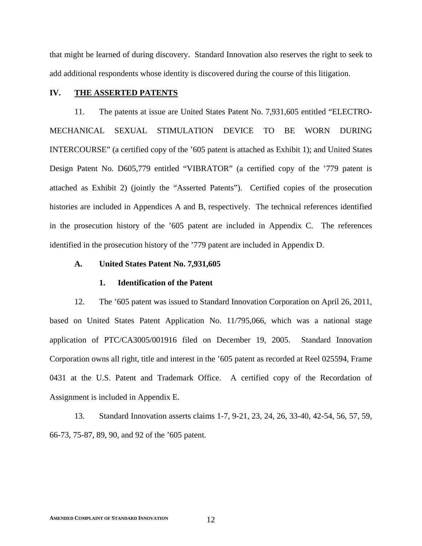that might be learned of during discovery. Standard Innovation also reserves the right to seek to add additional respondents whose identity is discovered during the course of this litigation.

# **IV. THE ASSERTED PATENTS**

11. The patents at issue are United States Patent No. 7,931,605 entitled "ELECTRO-MECHANICAL SEXUAL STIMULATION DEVICE TO BE WORN DURING INTERCOURSE" (a certified copy of the '605 patent is attached as Exhibit 1); and United States Design Patent No. D605,779 entitled "VIBRATOR" (a certified copy of the '779 patent is attached as Exhibit 2) (jointly the "Asserted Patents"). Certified copies of the prosecution histories are included in Appendices A and B, respectively. The technical references identified in the prosecution history of the '605 patent are included in Appendix C. The references identified in the prosecution history of the '779 patent are included in Appendix D.

# **A. United States Patent No. 7,931,605**

#### **1. Identification of the Patent**

12. The '605 patent was issued to Standard Innovation Corporation on April 26, 2011, based on United States Patent Application No. 11/795,066, which was a national stage application of PTC/CA3005/001916 filed on December 19, 2005. Standard Innovation Corporation owns all right, title and interest in the '605 patent as recorded at Reel 025594, Frame 0431 at the U.S. Patent and Trademark Office. A certified copy of the Recordation of Assignment is included in Appendix E.

13. Standard Innovation asserts claims 1-7, 9-21, 23, 24, 26, 33-40, 42-54, 56, 57, 59, 66-73, 75-87, 89, 90, and 92 of the '605 patent.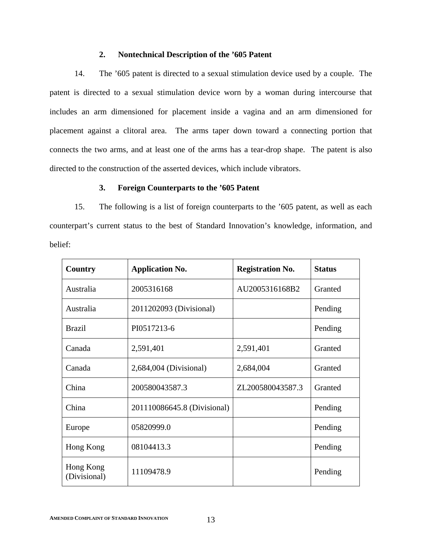# **2. Nontechnical Description of the '605 Patent**

14. The '605 patent is directed to a sexual stimulation device used by a couple. The patent is directed to a sexual stimulation device worn by a woman during intercourse that includes an arm dimensioned for placement inside a vagina and an arm dimensioned for placement against a clitoral area. The arms taper down toward a connecting portion that connects the two arms, and at least one of the arms has a tear-drop shape. The patent is also directed to the construction of the asserted devices, which include vibrators.

# **3. Foreign Counterparts to the '605 Patent**

15. The following is a list of foreign counterparts to the '605 patent, as well as each counterpart's current status to the best of Standard Innovation's knowledge, information, and belief:

| Country                   | <b>Application No.</b>      | <b>Registration No.</b> | <b>Status</b> |
|---------------------------|-----------------------------|-------------------------|---------------|
| Australia                 | 2005316168                  | AU2005316168B2          | Granted       |
| Australia                 | 2011202093 (Divisional)     |                         | Pending       |
| <b>Brazil</b>             | PI0517213-6                 |                         | Pending       |
| Canada                    | 2,591,401                   | 2,591,401               | Granted       |
| Canada                    | 2,684,004 (Divisional)      | 2,684,004               | Granted       |
| China                     | 200580043587.3              | ZL200580043587.3        | Granted       |
| China                     | 201110086645.8 (Divisional) |                         | Pending       |
| Europe                    | 05820999.0                  |                         | Pending       |
| Hong Kong                 | 08104413.3                  |                         | Pending       |
| Hong Kong<br>(Divisional) | 11109478.9                  |                         | Pending       |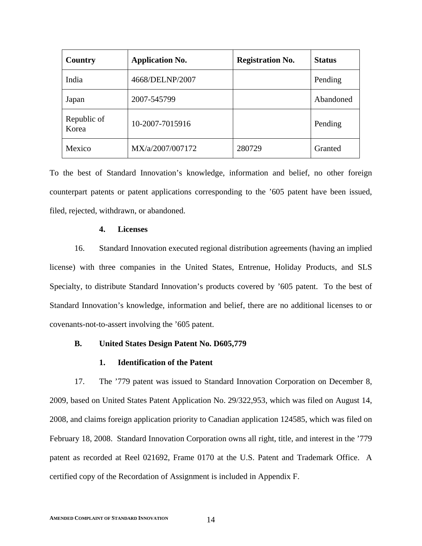| Country              | <b>Application No.</b> | <b>Registration No.</b> | <b>Status</b> |
|----------------------|------------------------|-------------------------|---------------|
| India                | 4668/DELNP/2007        |                         | Pending       |
| Japan                | 2007-545799            |                         | Abandoned     |
| Republic of<br>Korea | 10-2007-7015916        |                         | Pending       |
| Mexico               | MX/a/2007/007172       | 280729                  | Granted       |

To the best of Standard Innovation's knowledge, information and belief, no other foreign counterpart patents or patent applications corresponding to the '605 patent have been issued, filed, rejected, withdrawn, or abandoned.

## **4. Licenses**

16. Standard Innovation executed regional distribution agreements (having an implied license) with three companies in the United States, Entrenue, Holiday Products, and SLS Specialty, to distribute Standard Innovation's products covered by '605 patent. To the best of Standard Innovation's knowledge, information and belief, there are no additional licenses to or covenants-not-to-assert involving the '605 patent.

# **B. United States Design Patent No. D605,779**

# **1. Identification of the Patent**

17. The '779 patent was issued to Standard Innovation Corporation on December 8, 2009, based on United States Patent Application No. 29/322,953, which was filed on August 14, 2008, and claims foreign application priority to Canadian application 124585, which was filed on February 18, 2008. Standard Innovation Corporation owns all right, title, and interest in the '779 patent as recorded at Reel 021692, Frame 0170 at the U.S. Patent and Trademark Office. A certified copy of the Recordation of Assignment is included in Appendix F.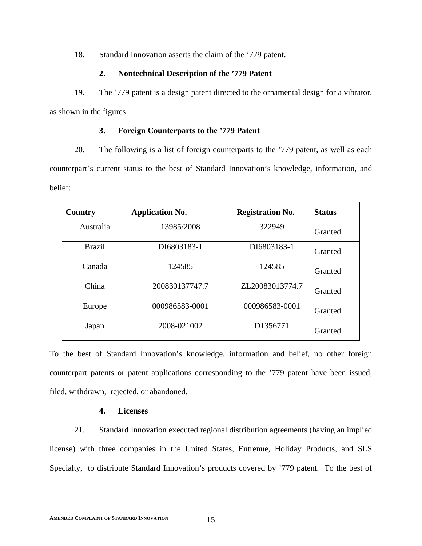18. Standard Innovation asserts the claim of the '779 patent.

# **2. Nontechnical Description of the '779 Patent**

19. The '779 patent is a design patent directed to the ornamental design for a vibrator, as shown in the figures.

# **3. Foreign Counterparts to the '779 Patent**

20. The following is a list of foreign counterparts to the '779 patent, as well as each counterpart's current status to the best of Standard Innovation's knowledge, information, and belief:

| Country       | <b>Application No.</b> | <b>Registration No.</b> | <b>Status</b> |
|---------------|------------------------|-------------------------|---------------|
| Australia     | 13985/2008             | 322949                  | Granted       |
| <b>Brazil</b> | DI6803183-1            | DI6803183-1             | Granted       |
| Canada        | 124585                 | 124585                  | Granted       |
| China         | 200830137747.7         | ZL20083013774.7         | Granted       |
| Europe        | 000986583-0001         | 000986583-0001          | Granted       |
| Japan         | 2008-021002            | D1356771                | Granted       |

To the best of Standard Innovation's knowledge, information and belief, no other foreign counterpart patents or patent applications corresponding to the '779 patent have been issued, filed, withdrawn, rejected, or abandoned.

# **4. Licenses**

21. Standard Innovation executed regional distribution agreements (having an implied license) with three companies in the United States, Entrenue, Holiday Products, and SLS Specialty, to distribute Standard Innovation's products covered by '779 patent. To the best of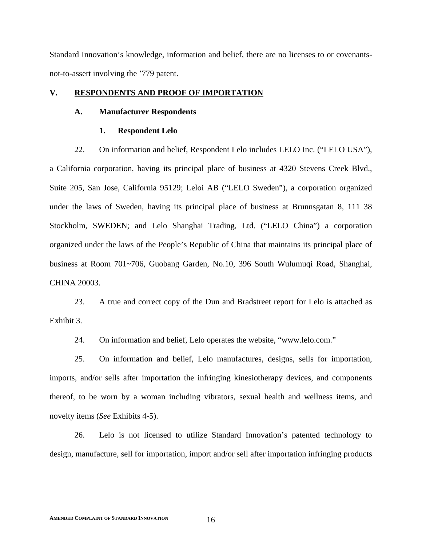Standard Innovation's knowledge, information and belief, there are no licenses to or covenantsnot-to-assert involving the '779 patent.

# **V. RESPONDENTS AND PROOF OF IMPORTATION**

## **A. Manufacturer Respondents**

#### **1. Respondent Lelo**

22. On information and belief, Respondent Lelo includes LELO Inc. ("LELO USA"),

a California corporation, having its principal place of business at 4320 Stevens Creek Blvd., Suite 205, San Jose, California 95129; Leloi AB ("LELO Sweden"), a corporation organized under the laws of Sweden, having its principal place of business at Brunnsgatan 8, 111 38 Stockholm, SWEDEN; and Lelo Shanghai Trading, Ltd. ("LELO China") a corporation organized under the laws of the People's Republic of China that maintains its principal place of business at Room 701~706, Guobang Garden, No.10, 396 South Wulumuqi Road, Shanghai, CHINA 20003.

23. A true and correct copy of the Dun and Bradstreet report for Lelo is attached as Exhibit 3.

24. On information and belief, Lelo operates the website, "www.lelo.com."

25. On information and belief, Lelo manufactures, designs, sells for importation, imports, and/or sells after importation the infringing kinesiotherapy devices, and components thereof, to be worn by a woman including vibrators, sexual health and wellness items, and novelty items (*See* Exhibits 4-5).

26. Lelo is not licensed to utilize Standard Innovation's patented technology to design, manufacture, sell for importation, import and/or sell after importation infringing products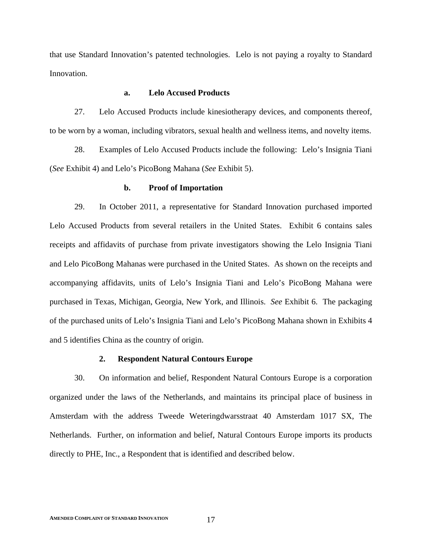that use Standard Innovation's patented technologies. Lelo is not paying a royalty to Standard Innovation.

# **a. Lelo Accused Products**

27. Lelo Accused Products include kinesiotherapy devices, and components thereof, to be worn by a woman, including vibrators, sexual health and wellness items, and novelty items.

28. Examples of Lelo Accused Products include the following: Lelo's Insignia Tiani (*See* Exhibit 4) and Lelo's PicoBong Mahana (*See* Exhibit 5).

#### **b. Proof of Importation**

29. In October 2011, a representative for Standard Innovation purchased imported Lelo Accused Products from several retailers in the United States. Exhibit 6 contains sales receipts and affidavits of purchase from private investigators showing the Lelo Insignia Tiani and Lelo PicoBong Mahanas were purchased in the United States. As shown on the receipts and accompanying affidavits, units of Lelo's Insignia Tiani and Lelo's PicoBong Mahana were purchased in Texas, Michigan, Georgia, New York, and Illinois. *See* Exhibit 6. The packaging of the purchased units of Lelo's Insignia Tiani and Lelo's PicoBong Mahana shown in Exhibits 4 and 5 identifies China as the country of origin.

# **2. Respondent Natural Contours Europe**

30. On information and belief, Respondent Natural Contours Europe is a corporation organized under the laws of the Netherlands, and maintains its principal place of business in Amsterdam with the address Tweede Weteringdwarsstraat 40 Amsterdam 1017 SX, The Netherlands. Further, on information and belief, Natural Contours Europe imports its products directly to PHE, Inc., a Respondent that is identified and described below.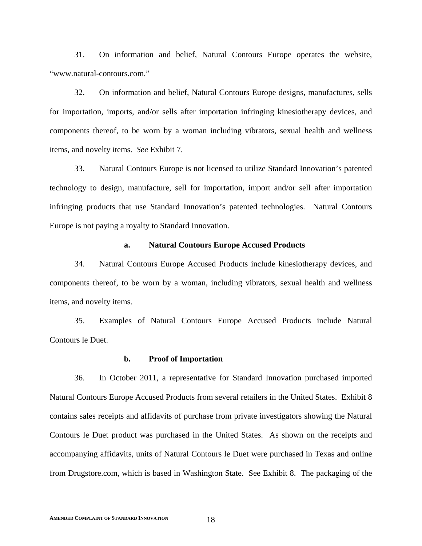31. On information and belief, Natural Contours Europe operates the website, "www.natural-contours.com."

32. On information and belief, Natural Contours Europe designs, manufactures, sells for importation, imports, and/or sells after importation infringing kinesiotherapy devices, and components thereof, to be worn by a woman including vibrators, sexual health and wellness items, and novelty items. *See* Exhibit 7.

33. Natural Contours Europe is not licensed to utilize Standard Innovation's patented technology to design, manufacture, sell for importation, import and/or sell after importation infringing products that use Standard Innovation's patented technologies. Natural Contours Europe is not paying a royalty to Standard Innovation.

## **a. Natural Contours Europe Accused Products**

34. Natural Contours Europe Accused Products include kinesiotherapy devices, and components thereof, to be worn by a woman, including vibrators, sexual health and wellness items, and novelty items.

35. Examples of Natural Contours Europe Accused Products include Natural Contours le Duet.

#### **b. Proof of Importation**

36. In October 2011, a representative for Standard Innovation purchased imported Natural Contours Europe Accused Products from several retailers in the United States. Exhibit 8 contains sales receipts and affidavits of purchase from private investigators showing the Natural Contours le Duet product was purchased in the United States. As shown on the receipts and accompanying affidavits, units of Natural Contours le Duet were purchased in Texas and online from Drugstore.com, which is based in Washington State. See Exhibit 8. The packaging of the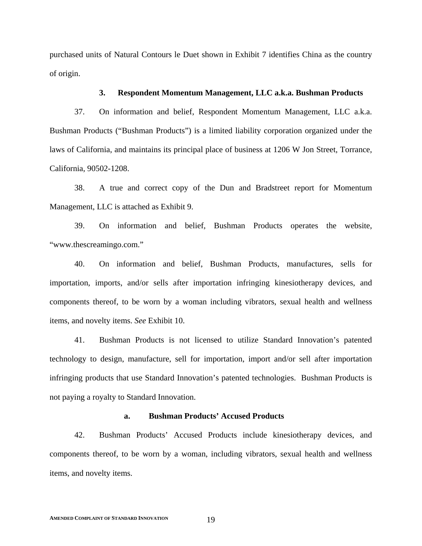purchased units of Natural Contours le Duet shown in Exhibit 7 identifies China as the country of origin.

## **3. Respondent Momentum Management, LLC a.k.a. Bushman Products**

37. On information and belief, Respondent Momentum Management, LLC a.k.a. Bushman Products ("Bushman Products") is a limited liability corporation organized under the laws of California, and maintains its principal place of business at 1206 W Jon Street, Torrance, California, 90502-1208.

38. A true and correct copy of the Dun and Bradstreet report for Momentum Management, LLC is attached as Exhibit 9.

39. On information and belief, Bushman Products operates the website, "www.thescreamingo.com."

40. On information and belief, Bushman Products, manufactures, sells for importation, imports, and/or sells after importation infringing kinesiotherapy devices, and components thereof, to be worn by a woman including vibrators, sexual health and wellness items, and novelty items. *See* Exhibit 10.

41. Bushman Products is not licensed to utilize Standard Innovation's patented technology to design, manufacture, sell for importation, import and/or sell after importation infringing products that use Standard Innovation's patented technologies. Bushman Products is not paying a royalty to Standard Innovation.

## **a. Bushman Products' Accused Products**

42. Bushman Products' Accused Products include kinesiotherapy devices, and components thereof, to be worn by a woman, including vibrators, sexual health and wellness items, and novelty items.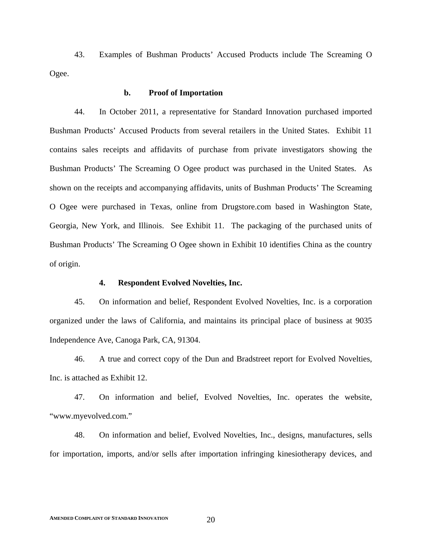43. Examples of Bushman Products' Accused Products include The Screaming O Ogee.

## **b. Proof of Importation**

44. In October 2011, a representative for Standard Innovation purchased imported Bushman Products' Accused Products from several retailers in the United States. Exhibit 11 contains sales receipts and affidavits of purchase from private investigators showing the Bushman Products' The Screaming O Ogee product was purchased in the United States. As shown on the receipts and accompanying affidavits, units of Bushman Products' The Screaming O Ogee were purchased in Texas, online from Drugstore.com based in Washington State, Georgia, New York, and Illinois. See Exhibit 11. The packaging of the purchased units of Bushman Products' The Screaming O Ogee shown in Exhibit 10 identifies China as the country of origin.

## **4. Respondent Evolved Novelties, Inc.**

45. On information and belief, Respondent Evolved Novelties, Inc. is a corporation organized under the laws of California, and maintains its principal place of business at 9035 Independence Ave, Canoga Park, CA, 91304.

46. A true and correct copy of the Dun and Bradstreet report for Evolved Novelties, Inc. is attached as Exhibit 12.

47. On information and belief, Evolved Novelties, Inc. operates the website, "www.myevolved.com."

48. On information and belief, Evolved Novelties, Inc., designs, manufactures, sells for importation, imports, and/or sells after importation infringing kinesiotherapy devices, and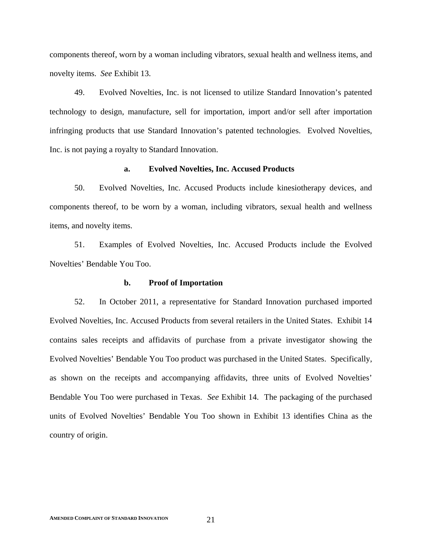components thereof, worn by a woman including vibrators, sexual health and wellness items, and novelty items. *See* Exhibit 13.

49. Evolved Novelties, Inc. is not licensed to utilize Standard Innovation's patented technology to design, manufacture, sell for importation, import and/or sell after importation infringing products that use Standard Innovation's patented technologies. Evolved Novelties, Inc. is not paying a royalty to Standard Innovation.

# **a. Evolved Novelties, Inc. Accused Products**

50. Evolved Novelties, Inc. Accused Products include kinesiotherapy devices, and components thereof, to be worn by a woman, including vibrators, sexual health and wellness items, and novelty items.

51. Examples of Evolved Novelties, Inc. Accused Products include the Evolved Novelties' Bendable You Too.

#### **b. Proof of Importation**

52. In October 2011, a representative for Standard Innovation purchased imported Evolved Novelties, Inc. Accused Products from several retailers in the United States. Exhibit 14 contains sales receipts and affidavits of purchase from a private investigator showing the Evolved Novelties' Bendable You Too product was purchased in the United States. Specifically, as shown on the receipts and accompanying affidavits, three units of Evolved Novelties' Bendable You Too were purchased in Texas. *See* Exhibit 14. The packaging of the purchased units of Evolved Novelties' Bendable You Too shown in Exhibit 13 identifies China as the country of origin.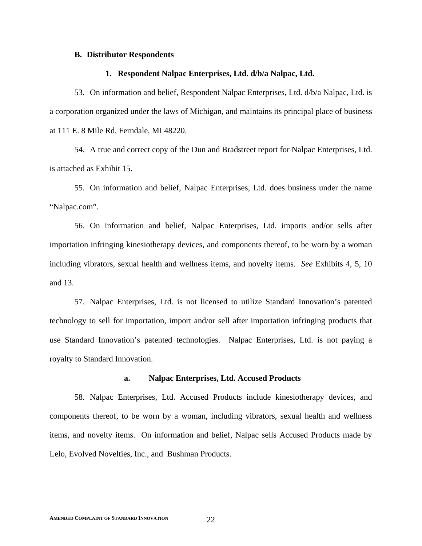#### **B. Distributor Respondents**

#### **1. Respondent Nalpac Enterprises, Ltd. d/b/a Nalpac, Ltd.**

53. On information and belief, Respondent Nalpac Enterprises, Ltd. d/b/a Nalpac, Ltd. is a corporation organized under the laws of Michigan, and maintains its principal place of business at 111 E. 8 Mile Rd, Ferndale, MI 48220.

54. A true and correct copy of the Dun and Bradstreet report for Nalpac Enterprises, Ltd. is attached as Exhibit 15.

55. On information and belief, Nalpac Enterprises, Ltd. does business under the name "Nalpac.com".

56. On information and belief, Nalpac Enterprises, Ltd. imports and/or sells after importation infringing kinesiotherapy devices, and components thereof, to be worn by a woman including vibrators, sexual health and wellness items, and novelty items. *See* Exhibits 4, 5, 10 and 13.

57. Nalpac Enterprises, Ltd. is not licensed to utilize Standard Innovation's patented technology to sell for importation, import and/or sell after importation infringing products that use Standard Innovation's patented technologies. Nalpac Enterprises, Ltd. is not paying a royalty to Standard Innovation.

#### **a. Nalpac Enterprises, Ltd. Accused Products**

58. Nalpac Enterprises, Ltd. Accused Products include kinesiotherapy devices, and components thereof, to be worn by a woman, including vibrators, sexual health and wellness items, and novelty items. On information and belief, Nalpac sells Accused Products made by Lelo, Evolved Novelties, Inc., and Bushman Products.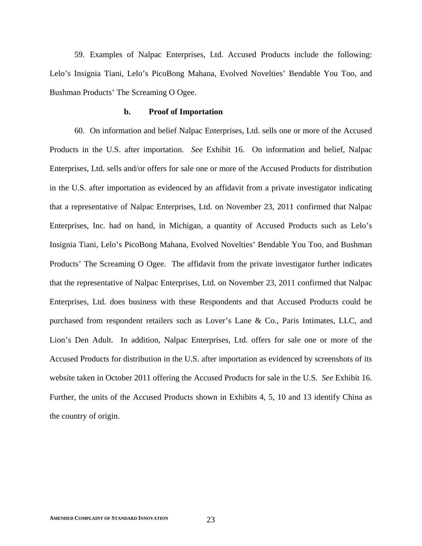59. Examples of Nalpac Enterprises, Ltd. Accused Products include the following: Lelo's Insignia Tiani, Lelo's PicoBong Mahana, Evolved Novelties' Bendable You Too, and Bushman Products' The Screaming O Ogee.

## **b. Proof of Importation**

60. On information and belief Nalpac Enterprises, Ltd. sells one or more of the Accused Products in the U.S. after importation. *See* Exhibit 16. On information and belief, Nalpac Enterprises, Ltd. sells and/or offers for sale one or more of the Accused Products for distribution in the U.S. after importation as evidenced by an affidavit from a private investigator indicating that a representative of Nalpac Enterprises, Ltd. on November 23, 2011 confirmed that Nalpac Enterprises, Inc. had on hand, in Michigan, a quantity of Accused Products such as Lelo's Insignia Tiani, Lelo's PicoBong Mahana, Evolved Novelties' Bendable You Too, and Bushman Products' The Screaming O Ogee. The affidavit from the private investigator further indicates that the representative of Nalpac Enterprises, Ltd. on November 23, 2011 confirmed that Nalpac Enterprises, Ltd. does business with these Respondents and that Accused Products could be purchased from respondent retailers such as Lover's Lane & Co., Paris Intimates, LLC, and Lion's Den Adult. In addition, Nalpac Enterprises, Ltd. offers for sale one or more of the Accused Products for distribution in the U.S. after importation as evidenced by screenshots of its website taken in October 2011 offering the Accused Products for sale in the U.S. *See* Exhibit 16. Further, the units of the Accused Products shown in Exhibits 4, 5, 10 and 13 identify China as the country of origin.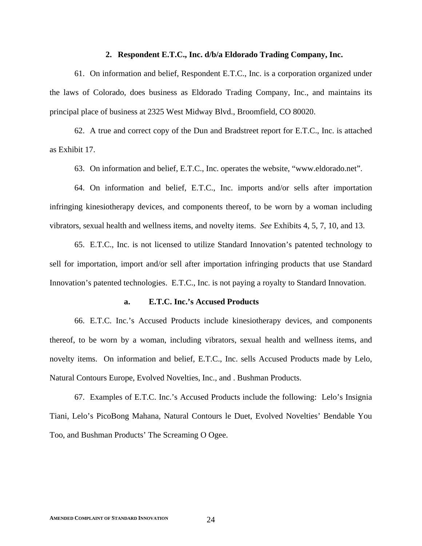## **2. Respondent E.T.C., Inc. d/b/a Eldorado Trading Company, Inc.**

61. On information and belief, Respondent E.T.C., Inc. is a corporation organized under the laws of Colorado, does business as Eldorado Trading Company, Inc., and maintains its principal place of business at 2325 West Midway Blvd., Broomfield, CO 80020.

62. A true and correct copy of the Dun and Bradstreet report for E.T.C., Inc. is attached as Exhibit 17.

63. On information and belief, E.T.C., Inc. operates the website, "www.eldorado.net".

64. On information and belief, E.T.C., Inc. imports and/or sells after importation infringing kinesiotherapy devices, and components thereof, to be worn by a woman including vibrators, sexual health and wellness items, and novelty items. *See* Exhibits 4, 5, 7, 10, and 13.

65. E.T.C., Inc. is not licensed to utilize Standard Innovation's patented technology to sell for importation, import and/or sell after importation infringing products that use Standard Innovation's patented technologies. E.T.C., Inc. is not paying a royalty to Standard Innovation.

## **a. E.T.C. Inc.'s Accused Products**

66. E.T.C. Inc.'s Accused Products include kinesiotherapy devices, and components thereof, to be worn by a woman, including vibrators, sexual health and wellness items, and novelty items. On information and belief, E.T.C., Inc. sells Accused Products made by Lelo, Natural Contours Europe, Evolved Novelties, Inc., and . Bushman Products.

67. Examples of E.T.C. Inc.'s Accused Products include the following: Lelo's Insignia Tiani, Lelo's PicoBong Mahana, Natural Contours le Duet, Evolved Novelties' Bendable You Too, and Bushman Products' The Screaming O Ogee.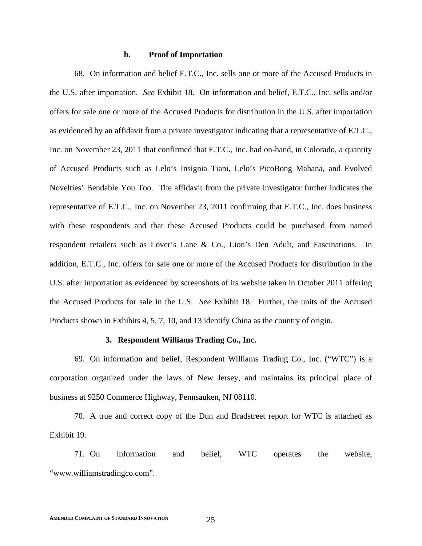## **b. Proof of Importation**

68. On information and belief E.T.C., Inc. sells one or more of the Accused Products in the U.S. after importation. *See* Exhibit 18. On information and belief, E.T.C., Inc. sells and/or offers for sale one or more of the Accused Products for distribution in the U.S. after importation as evidenced by an affidavit from a private investigator indicating that a representative of E.T.C., Inc. on November 23, 2011 that confirmed that E.T.C., Inc. had on-hand, in Colorado, a quantity of Accused Products such as Lelo's Insignia Tiani, Lelo's PicoBong Mahana, and Evolved Novelties' Bendable You Too. The affidavit from the private investigator further indicates the representative of E.T.C., Inc. on November 23, 2011 confirming that E.T.C., Inc. does business with these respondents and that these Accused Products could be purchased from named respondent retailers such as Lover's Lane & Co., Lion's Den Adult, and Fascinations. In addition, E.T.C., Inc. offers for sale one or more of the Accused Products for distribution in the U.S. after importation as evidenced by screenshots of its website taken in October 2011 offering the Accused Products for sale in the U.S. *See* Exhibit 18. Further, the units of the Accused Products shown in Exhibits 4, 5, 7, 10, and 13 identify China as the country of origin.

# **3. Respondent Williams Trading Co., Inc.**

69. On information and belief, Respondent Williams Trading Co., Inc. ("WTC") is a corporation organized under the laws of New Jersey, and maintains its principal place of business at 9250 Commerce Highway, Pennsauken, NJ 08110.

70. A true and correct copy of the Dun and Bradstreet report for WTC is attached as Exhibit 19.

71. On information and belief, WTC operates the website, "www.williamstradingco.com".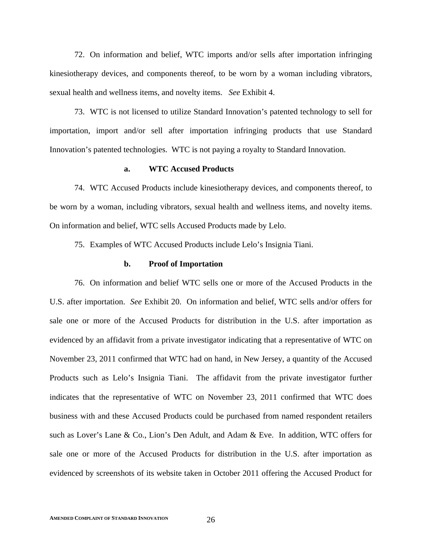72. On information and belief, WTC imports and/or sells after importation infringing kinesiotherapy devices, and components thereof, to be worn by a woman including vibrators, sexual health and wellness items, and novelty items. *See* Exhibit 4.

73. WTC is not licensed to utilize Standard Innovation's patented technology to sell for importation, import and/or sell after importation infringing products that use Standard Innovation's patented technologies. WTC is not paying a royalty to Standard Innovation.

#### **a. WTC Accused Products**

74. WTC Accused Products include kinesiotherapy devices, and components thereof, to be worn by a woman, including vibrators, sexual health and wellness items, and novelty items. On information and belief, WTC sells Accused Products made by Lelo.

75. Examples of WTC Accused Products include Lelo's Insignia Tiani.

#### **b. Proof of Importation**

76. On information and belief WTC sells one or more of the Accused Products in the U.S. after importation. *See* Exhibit 20. On information and belief, WTC sells and/or offers for sale one or more of the Accused Products for distribution in the U.S. after importation as evidenced by an affidavit from a private investigator indicating that a representative of WTC on November 23, 2011 confirmed that WTC had on hand, in New Jersey, a quantity of the Accused Products such as Lelo's Insignia Tiani. The affidavit from the private investigator further indicates that the representative of WTC on November 23, 2011 confirmed that WTC does business with and these Accused Products could be purchased from named respondent retailers such as Lover's Lane & Co., Lion's Den Adult, and Adam & Eve. In addition, WTC offers for sale one or more of the Accused Products for distribution in the U.S. after importation as evidenced by screenshots of its website taken in October 2011 offering the Accused Product for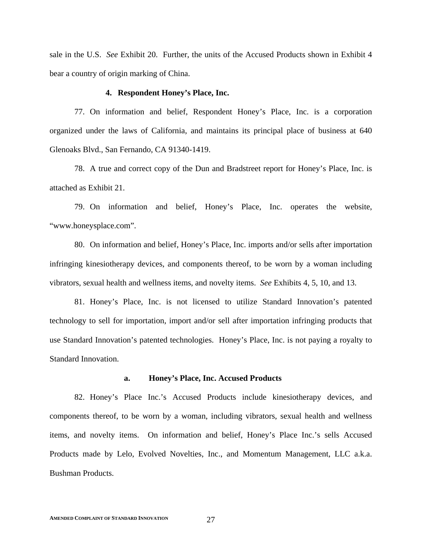sale in the U.S. *See* Exhibit 20. Further, the units of the Accused Products shown in Exhibit 4 bear a country of origin marking of China.

## **4. Respondent Honey's Place, Inc.**

77. On information and belief, Respondent Honey's Place, Inc. is a corporation organized under the laws of California, and maintains its principal place of business at 640 Glenoaks Blvd., San Fernando, CA 91340-1419.

78. A true and correct copy of the Dun and Bradstreet report for Honey's Place, Inc. is attached as Exhibit 21.

79. On information and belief, Honey's Place, Inc. operates the website, "www.honeysplace.com".

80. On information and belief, Honey's Place, Inc. imports and/or sells after importation infringing kinesiotherapy devices, and components thereof, to be worn by a woman including vibrators, sexual health and wellness items, and novelty items. *See* Exhibits 4, 5, 10, and 13.

81. Honey's Place, Inc. is not licensed to utilize Standard Innovation's patented technology to sell for importation, import and/or sell after importation infringing products that use Standard Innovation's patented technologies. Honey's Place, Inc. is not paying a royalty to Standard Innovation.

#### **a. Honey's Place, Inc. Accused Products**

82. Honey's Place Inc.'s Accused Products include kinesiotherapy devices, and components thereof, to be worn by a woman, including vibrators, sexual health and wellness items, and novelty items. On information and belief, Honey's Place Inc.'s sells Accused Products made by Lelo, Evolved Novelties, Inc., and Momentum Management, LLC a.k.a. Bushman Products.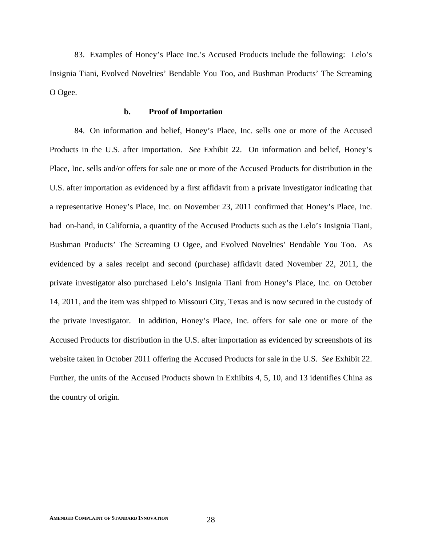83. Examples of Honey's Place Inc.'s Accused Products include the following: Lelo's Insignia Tiani, Evolved Novelties' Bendable You Too, and Bushman Products' The Screaming O Ogee.

# **b. Proof of Importation**

84. On information and belief, Honey's Place, Inc. sells one or more of the Accused Products in the U.S. after importation. *See* Exhibit 22. On information and belief, Honey's Place, Inc. sells and/or offers for sale one or more of the Accused Products for distribution in the U.S. after importation as evidenced by a first affidavit from a private investigator indicating that a representative Honey's Place, Inc. on November 23, 2011 confirmed that Honey's Place, Inc. had on-hand, in California, a quantity of the Accused Products such as the Lelo's Insignia Tiani, Bushman Products' The Screaming O Ogee, and Evolved Novelties' Bendable You Too. As evidenced by a sales receipt and second (purchase) affidavit dated November 22, 2011, the private investigator also purchased Lelo's Insignia Tiani from Honey's Place, Inc. on October 14, 2011, and the item was shipped to Missouri City, Texas and is now secured in the custody of the private investigator. In addition, Honey's Place, Inc. offers for sale one or more of the Accused Products for distribution in the U.S. after importation as evidenced by screenshots of its website taken in October 2011 offering the Accused Products for sale in the U.S. *See* Exhibit 22. Further, the units of the Accused Products shown in Exhibits 4, 5, 10, and 13 identifies China as the country of origin.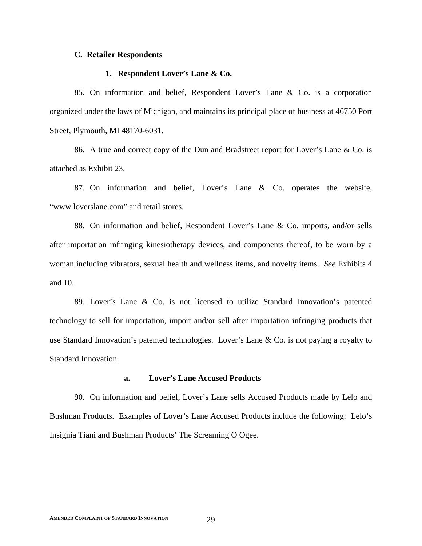## **C. Retailer Respondents**

## **1. Respondent Lover's Lane & Co.**

85. On information and belief, Respondent Lover's Lane & Co. is a corporation organized under the laws of Michigan, and maintains its principal place of business at 46750 Port Street, Plymouth, MI 48170-6031.

86. A true and correct copy of the Dun and Bradstreet report for Lover's Lane & Co. is attached as Exhibit 23.

87. On information and belief, Lover's Lane & Co. operates the website, "www.loverslane.com" and retail stores.

88. On information and belief, Respondent Lover's Lane & Co. imports, and/or sells after importation infringing kinesiotherapy devices, and components thereof, to be worn by a woman including vibrators, sexual health and wellness items, and novelty items. *See* Exhibits 4 and 10.

89. Lover's Lane & Co. is not licensed to utilize Standard Innovation's patented technology to sell for importation, import and/or sell after importation infringing products that use Standard Innovation's patented technologies. Lover's Lane & Co. is not paying a royalty to Standard Innovation.

#### **a. Lover's Lane Accused Products**

90. On information and belief, Lover's Lane sells Accused Products made by Lelo and Bushman Products. Examples of Lover's Lane Accused Products include the following: Lelo's Insignia Tiani and Bushman Products' The Screaming O Ogee.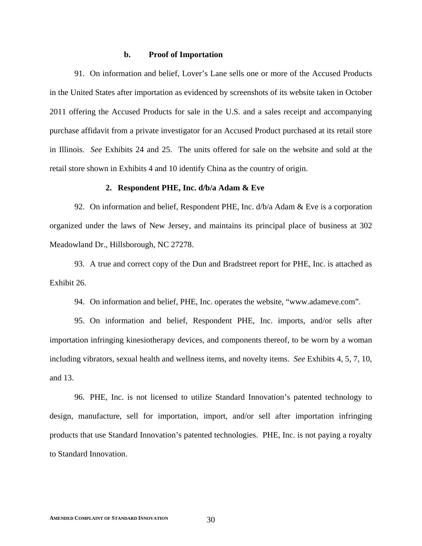## **b. Proof of Importation**

91. On information and belief, Lover's Lane sells one or more of the Accused Products in the United States after importation as evidenced by screenshots of its website taken in October 2011 offering the Accused Products for sale in the U.S. and a sales receipt and accompanying purchase affidavit from a private investigator for an Accused Product purchased at its retail store in Illinois. *See* Exhibits 24 and 25. The units offered for sale on the website and sold at the retail store shown in Exhibits 4 and 10 identify China as the country of origin.

#### **2. Respondent PHE, Inc. d/b/a Adam & Eve**

92. On information and belief, Respondent PHE, Inc.  $d/b/a$  Adam  $\&$  Eve is a corporation organized under the laws of New Jersey, and maintains its principal place of business at 302 Meadowland Dr., Hillsborough, NC 27278.

93. A true and correct copy of the Dun and Bradstreet report for PHE, Inc. is attached as Exhibit 26.

94. On information and belief, PHE, Inc. operates the website, "www.adameve.com".

95. On information and belief, Respondent PHE, Inc. imports, and/or sells after importation infringing kinesiotherapy devices, and components thereof, to be worn by a woman including vibrators, sexual health and wellness items, and novelty items. *See* Exhibits 4, 5, 7, 10, and 13.

96. PHE, Inc. is not licensed to utilize Standard Innovation's patented technology to design, manufacture, sell for importation, import, and/or sell after importation infringing products that use Standard Innovation's patented technologies. PHE, Inc. is not paying a royalty to Standard Innovation.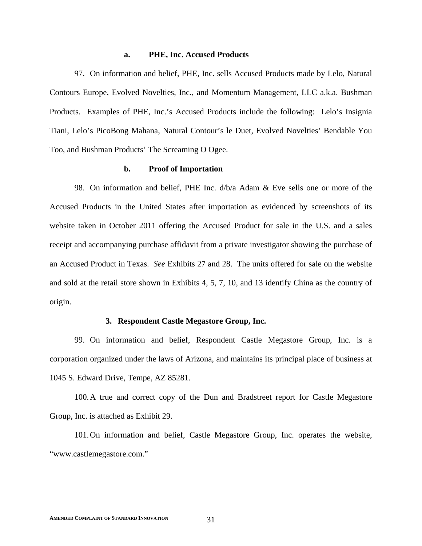#### **a. PHE, Inc. Accused Products**

97. On information and belief, PHE, Inc. sells Accused Products made by Lelo, Natural Contours Europe, Evolved Novelties, Inc., and Momentum Management, LLC a.k.a. Bushman Products. Examples of PHE, Inc.'s Accused Products include the following: Lelo's Insignia Tiani, Lelo's PicoBong Mahana, Natural Contour's le Duet, Evolved Novelties' Bendable You Too, and Bushman Products' The Screaming O Ogee.

#### **b. Proof of Importation**

98. On information and belief, PHE Inc. d/b/a Adam & Eve sells one or more of the Accused Products in the United States after importation as evidenced by screenshots of its website taken in October 2011 offering the Accused Product for sale in the U.S. and a sales receipt and accompanying purchase affidavit from a private investigator showing the purchase of an Accused Product in Texas. *See* Exhibits 27 and 28. The units offered for sale on the website and sold at the retail store shown in Exhibits 4, 5, 7, 10, and 13 identify China as the country of origin.

## **3. Respondent Castle Megastore Group, Inc.**

99. On information and belief, Respondent Castle Megastore Group, Inc. is a corporation organized under the laws of Arizona, and maintains its principal place of business at 1045 S. Edward Drive, Tempe, AZ 85281.

100.A true and correct copy of the Dun and Bradstreet report for Castle Megastore Group, Inc. is attached as Exhibit 29.

101.On information and belief, Castle Megastore Group, Inc. operates the website, "www.castlemegastore.com."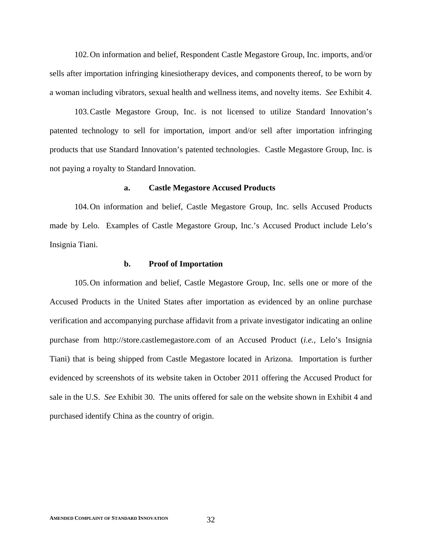102.On information and belief, Respondent Castle Megastore Group, Inc. imports, and/or sells after importation infringing kinesiotherapy devices, and components thereof, to be worn by a woman including vibrators, sexual health and wellness items, and novelty items. *See* Exhibit 4.

103.Castle Megastore Group, Inc. is not licensed to utilize Standard Innovation's patented technology to sell for importation, import and/or sell after importation infringing products that use Standard Innovation's patented technologies. Castle Megastore Group, Inc. is not paying a royalty to Standard Innovation.

#### **a. Castle Megastore Accused Products**

104.On information and belief, Castle Megastore Group, Inc. sells Accused Products made by Lelo. Examples of Castle Megastore Group, Inc.'s Accused Product include Lelo's Insignia Tiani.

#### **b. Proof of Importation**

105.On information and belief, Castle Megastore Group, Inc. sells one or more of the Accused Products in the United States after importation as evidenced by an online purchase verification and accompanying purchase affidavit from a private investigator indicating an online purchase from http://store.castlemegastore.com of an Accused Product (*i.e.*, Lelo's Insignia Tiani) that is being shipped from Castle Megastore located in Arizona. Importation is further evidenced by screenshots of its website taken in October 2011 offering the Accused Product for sale in the U.S. *See* Exhibit 30. The units offered for sale on the website shown in Exhibit 4 and purchased identify China as the country of origin.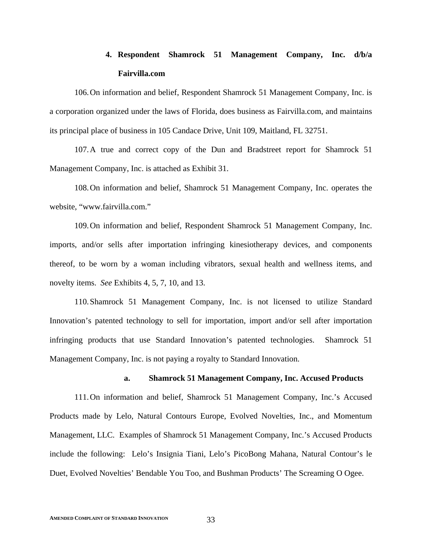# **4. Respondent Shamrock 51 Management Company, Inc. d/b/a Fairvilla.com**

106.On information and belief, Respondent Shamrock 51 Management Company, Inc. is a corporation organized under the laws of Florida, does business as Fairvilla.com, and maintains its principal place of business in 105 Candace Drive, Unit 109, Maitland, FL 32751.

107.A true and correct copy of the Dun and Bradstreet report for Shamrock 51 Management Company, Inc. is attached as Exhibit 31.

108.On information and belief, Shamrock 51 Management Company, Inc. operates the website, "www.fairvilla.com."

109.On information and belief, Respondent Shamrock 51 Management Company, Inc. imports, and/or sells after importation infringing kinesiotherapy devices, and components thereof, to be worn by a woman including vibrators, sexual health and wellness items, and novelty items. *See* Exhibits 4, 5, 7, 10, and 13.

110.Shamrock 51 Management Company, Inc. is not licensed to utilize Standard Innovation's patented technology to sell for importation, import and/or sell after importation infringing products that use Standard Innovation's patented technologies. Shamrock 51 Management Company, Inc. is not paying a royalty to Standard Innovation.

#### **a. Shamrock 51 Management Company, Inc. Accused Products**

111.On information and belief, Shamrock 51 Management Company, Inc.'s Accused Products made by Lelo, Natural Contours Europe, Evolved Novelties, Inc., and Momentum Management, LLC. Examples of Shamrock 51 Management Company, Inc.'s Accused Products include the following: Lelo's Insignia Tiani, Lelo's PicoBong Mahana, Natural Contour's le Duet, Evolved Novelties' Bendable You Too, and Bushman Products' The Screaming O Ogee.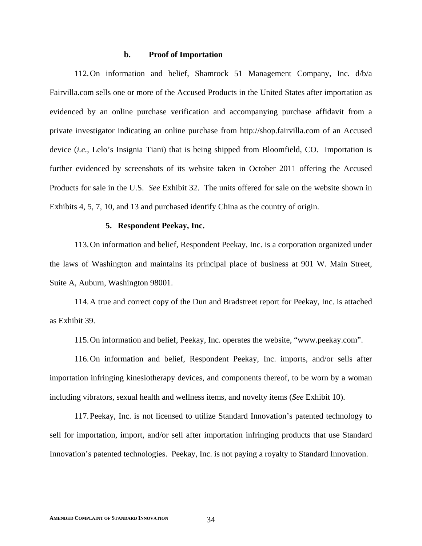## **b. Proof of Importation**

112.On information and belief, Shamrock 51 Management Company, Inc. d/b/a Fairvilla.com sells one or more of the Accused Products in the United States after importation as evidenced by an online purchase verification and accompanying purchase affidavit from a private investigator indicating an online purchase from http://shop.fairvilla.com of an Accused device (*i.e.*, Lelo's Insignia Tiani) that is being shipped from Bloomfield, CO. Importation is further evidenced by screenshots of its website taken in October 2011 offering the Accused Products for sale in the U.S. *See* Exhibit 32. The units offered for sale on the website shown in Exhibits 4, 5, 7, 10, and 13 and purchased identify China as the country of origin.

#### **5. Respondent Peekay, Inc.**

113.On information and belief, Respondent Peekay, Inc. is a corporation organized under the laws of Washington and maintains its principal place of business at 901 W. Main Street, Suite A, Auburn, Washington 98001.

114.A true and correct copy of the Dun and Bradstreet report for Peekay, Inc. is attached as Exhibit 39.

115.On information and belief, Peekay, Inc. operates the website, "www.peekay.com".

116.On information and belief, Respondent Peekay, Inc. imports, and/or sells after importation infringing kinesiotherapy devices, and components thereof, to be worn by a woman including vibrators, sexual health and wellness items, and novelty items (*See* Exhibit 10).

117.Peekay, Inc. is not licensed to utilize Standard Innovation's patented technology to sell for importation, import, and/or sell after importation infringing products that use Standard Innovation's patented technologies. Peekay, Inc. is not paying a royalty to Standard Innovation.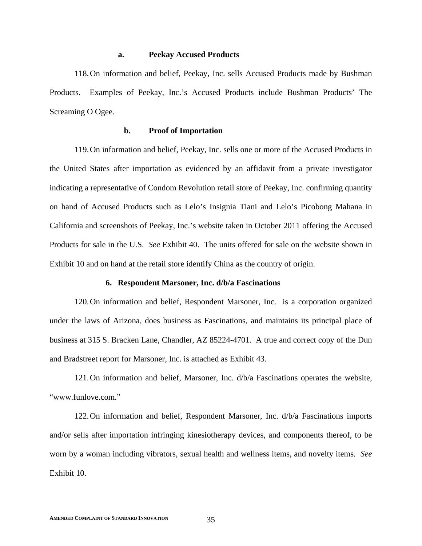#### **a. Peekay Accused Products**

118.On information and belief, Peekay, Inc. sells Accused Products made by Bushman Products. Examples of Peekay, Inc.'s Accused Products include Bushman Products' The Screaming O Ogee.

# **b. Proof of Importation**

119.On information and belief, Peekay, Inc. sells one or more of the Accused Products in the United States after importation as evidenced by an affidavit from a private investigator indicating a representative of Condom Revolution retail store of Peekay, Inc. confirming quantity on hand of Accused Products such as Lelo's Insignia Tiani and Lelo's Picobong Mahana in California and screenshots of Peekay, Inc.'s website taken in October 2011 offering the Accused Products for sale in the U.S. *See* Exhibit 40. The units offered for sale on the website shown in Exhibit 10 and on hand at the retail store identify China as the country of origin.

#### **6. Respondent Marsoner, Inc. d/b/a Fascinations**

120.On information and belief, Respondent Marsoner, Inc. is a corporation organized under the laws of Arizona, does business as Fascinations, and maintains its principal place of business at 315 S. Bracken Lane, Chandler, AZ 85224-4701. A true and correct copy of the Dun and Bradstreet report for Marsoner, Inc. is attached as Exhibit 43.

121.On information and belief, Marsoner, Inc. d/b/a Fascinations operates the website, "www.funlove.com."

122.On information and belief, Respondent Marsoner, Inc. d/b/a Fascinations imports and/or sells after importation infringing kinesiotherapy devices, and components thereof, to be worn by a woman including vibrators, sexual health and wellness items, and novelty items. *See* Exhibit 10.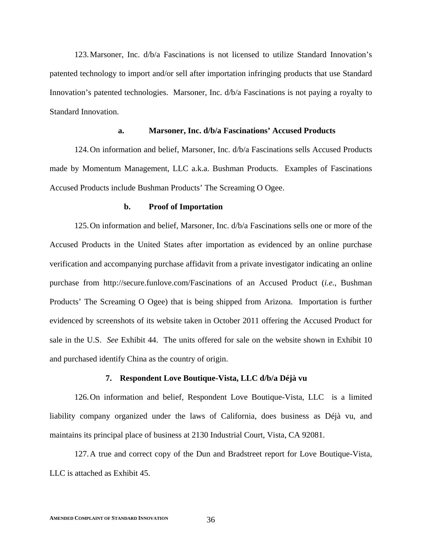123.Marsoner, Inc. d/b/a Fascinations is not licensed to utilize Standard Innovation's patented technology to import and/or sell after importation infringing products that use Standard Innovation's patented technologies. Marsoner, Inc. d/b/a Fascinations is not paying a royalty to Standard Innovation.

#### **a. Marsoner, Inc. d/b/a Fascinations' Accused Products**

124.On information and belief, Marsoner, Inc. d/b/a Fascinations sells Accused Products made by Momentum Management, LLC a.k.a. Bushman Products. Examples of Fascinations Accused Products include Bushman Products' The Screaming O Ogee.

#### **b. Proof of Importation**

125.On information and belief, Marsoner, Inc. d/b/a Fascinations sells one or more of the Accused Products in the United States after importation as evidenced by an online purchase verification and accompanying purchase affidavit from a private investigator indicating an online purchase from http://secure.funlove.com/Fascinations of an Accused Product (*i.e.*, Bushman Products' The Screaming O Ogee) that is being shipped from Arizona. Importation is further evidenced by screenshots of its website taken in October 2011 offering the Accused Product for sale in the U.S. *See* Exhibit 44. The units offered for sale on the website shown in Exhibit 10 and purchased identify China as the country of origin.

#### **7. Respondent Love Boutique-Vista, LLC d/b/a Déjà vu**

126.On information and belief, Respondent Love Boutique-Vista, LLC is a limited liability company organized under the laws of California, does business as Déjà vu, and maintains its principal place of business at 2130 Industrial Court, Vista, CA 92081.

127.A true and correct copy of the Dun and Bradstreet report for Love Boutique-Vista, LLC is attached as Exhibit 45.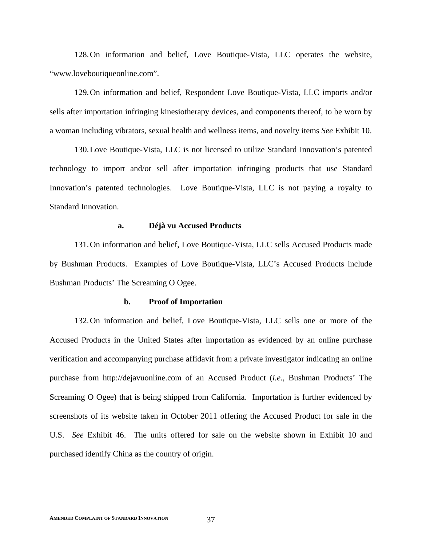128.On information and belief, Love Boutique-Vista, LLC operates the website, "www.loveboutiqueonline.com".

129.On information and belief, Respondent Love Boutique-Vista, LLC imports and/or sells after importation infringing kinesiotherapy devices, and components thereof, to be worn by a woman including vibrators, sexual health and wellness items, and novelty items *See* Exhibit 10.

130.Love Boutique-Vista, LLC is not licensed to utilize Standard Innovation's patented technology to import and/or sell after importation infringing products that use Standard Innovation's patented technologies. Love Boutique-Vista, LLC is not paying a royalty to Standard Innovation.

#### **a. Déjà vu Accused Products**

131.On information and belief, Love Boutique-Vista, LLC sells Accused Products made by Bushman Products. Examples of Love Boutique-Vista, LLC's Accused Products include Bushman Products' The Screaming O Ogee.

#### **b. Proof of Importation**

132.On information and belief, Love Boutique-Vista, LLC sells one or more of the Accused Products in the United States after importation as evidenced by an online purchase verification and accompanying purchase affidavit from a private investigator indicating an online purchase from http://dejavuonline.com of an Accused Product (*i.e.*, Bushman Products' The Screaming O Ogee) that is being shipped from California. Importation is further evidenced by screenshots of its website taken in October 2011 offering the Accused Product for sale in the U.S. *See* Exhibit 46. The units offered for sale on the website shown in Exhibit 10 and purchased identify China as the country of origin.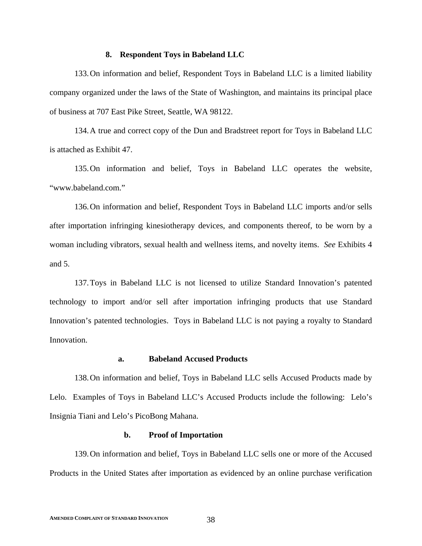#### **8. Respondent Toys in Babeland LLC**

133.On information and belief, Respondent Toys in Babeland LLC is a limited liability company organized under the laws of the State of Washington, and maintains its principal place of business at 707 East Pike Street, Seattle, WA 98122.

134.A true and correct copy of the Dun and Bradstreet report for Toys in Babeland LLC is attached as Exhibit 47.

135.On information and belief, Toys in Babeland LLC operates the website, "www.babeland.com."

136.On information and belief, Respondent Toys in Babeland LLC imports and/or sells after importation infringing kinesiotherapy devices, and components thereof, to be worn by a woman including vibrators, sexual health and wellness items, and novelty items. *See* Exhibits 4 and 5.

137.Toys in Babeland LLC is not licensed to utilize Standard Innovation's patented technology to import and/or sell after importation infringing products that use Standard Innovation's patented technologies. Toys in Babeland LLC is not paying a royalty to Standard Innovation.

## **a. Babeland Accused Products**

138.On information and belief, Toys in Babeland LLC sells Accused Products made by Lelo. Examples of Toys in Babeland LLC's Accused Products include the following: Lelo's Insignia Tiani and Lelo's PicoBong Mahana.

#### **b. Proof of Importation**

139.On information and belief, Toys in Babeland LLC sells one or more of the Accused Products in the United States after importation as evidenced by an online purchase verification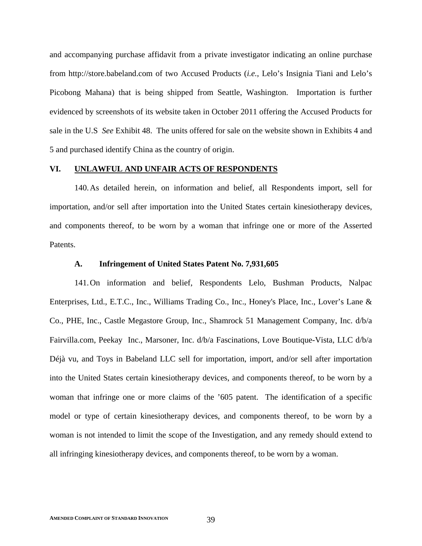and accompanying purchase affidavit from a private investigator indicating an online purchase from http://store.babeland.com of two Accused Products (*i.e.*, Lelo's Insignia Tiani and Lelo's Picobong Mahana) that is being shipped from Seattle, Washington. Importation is further evidenced by screenshots of its website taken in October 2011 offering the Accused Products for sale in the U.S *See* Exhibit 48. The units offered for sale on the website shown in Exhibits 4 and 5 and purchased identify China as the country of origin.

## **VI. UNLAWFUL AND UNFAIR ACTS OF RESPONDENTS**

140.As detailed herein, on information and belief, all Respondents import, sell for importation, and/or sell after importation into the United States certain kinesiotherapy devices, and components thereof, to be worn by a woman that infringe one or more of the Asserted Patents.

## **A. Infringement of United States Patent No. 7,931,605**

141.On information and belief, Respondents Lelo, Bushman Products, Nalpac Enterprises, Ltd., E.T.C., Inc., Williams Trading Co., Inc., Honey's Place, Inc., Lover's Lane & Co., PHE, Inc., Castle Megastore Group, Inc., Shamrock 51 Management Company, Inc. d/b/a Fairvilla.com, Peekay Inc., Marsoner, Inc. d/b/a Fascinations, Love Boutique-Vista, LLC d/b/a Déjà vu, and Toys in Babeland LLC sell for importation, import, and/or sell after importation into the United States certain kinesiotherapy devices, and components thereof, to be worn by a woman that infringe one or more claims of the '605 patent. The identification of a specific model or type of certain kinesiotherapy devices, and components thereof, to be worn by a woman is not intended to limit the scope of the Investigation, and any remedy should extend to all infringing kinesiotherapy devices, and components thereof, to be worn by a woman.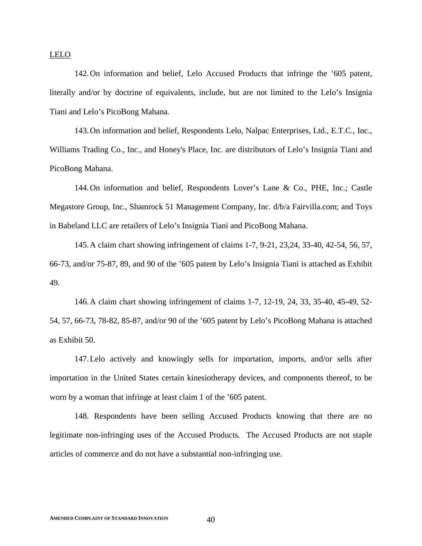LELO

142.On information and belief, Lelo Accused Products that infringe the '605 patent, literally and/or by doctrine of equivalents, include, but are not limited to the Lelo's Insignia Tiani and Lelo's PicoBong Mahana.

143.On information and belief, Respondents Lelo, Nalpac Enterprises, Ltd., E.T.C., Inc., Williams Trading Co., Inc., and Honey's Place, Inc. are distributors of Lelo's Insignia Tiani and PicoBong Mahana.

144.On information and belief, Respondents Lover's Lane & Co., PHE, Inc.; Castle Megastore Group, Inc., Shamrock 51 Management Company, Inc. d/b/a Fairvilla.com; and Toys in Babeland LLC are retailers of Lelo's Insignia Tiani and PicoBong Mahana.

145.A claim chart showing infringement of claims 1-7, 9-21, 23,24, 33-40, 42-54, 56, 57, 66-73, and/or 75-87, 89, and 90 of the '605 patent by Lelo's Insignia Tiani is attached as Exhibit 49.

146.A claim chart showing infringement of claims 1-7, 12-19, 24, 33, 35-40, 45-49, 52- 54, 57, 66-73, 78-82, 85-87, and/or 90 of the '605 patent by Lelo's PicoBong Mahana is attached as Exhibit 50.

147.Lelo actively and knowingly sells for importation, imports, and/or sells after importation in the United States certain kinesiotherapy devices, and components thereof, to be worn by a woman that infringe at least claim 1 of the '605 patent.

148. Respondents have been selling Accused Products knowing that there are no legitimate non-infringing uses of the Accused Products. The Accused Products are not staple articles of commerce and do not have a substantial non-infringing use.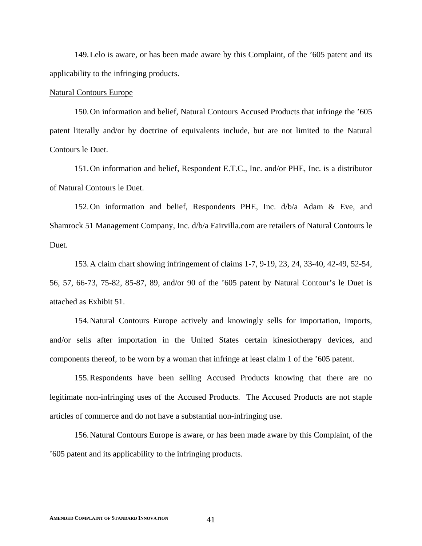149.Lelo is aware, or has been made aware by this Complaint, of the '605 patent and its applicability to the infringing products.

#### Natural Contours Europe

150.On information and belief, Natural Contours Accused Products that infringe the '605 patent literally and/or by doctrine of equivalents include, but are not limited to the Natural Contours le Duet.

151.On information and belief, Respondent E.T.C., Inc. and/or PHE, Inc. is a distributor of Natural Contours le Duet.

152.On information and belief, Respondents PHE, Inc. d/b/a Adam & Eve, and Shamrock 51 Management Company, Inc. d/b/a Fairvilla.com are retailers of Natural Contours le Duet.

153.A claim chart showing infringement of claims 1-7, 9-19, 23, 24, 33-40, 42-49, 52-54, 56, 57, 66-73, 75-82, 85-87, 89, and/or 90 of the '605 patent by Natural Contour's le Duet is attached as Exhibit 51.

154.Natural Contours Europe actively and knowingly sells for importation, imports, and/or sells after importation in the United States certain kinesiotherapy devices, and components thereof, to be worn by a woman that infringe at least claim 1 of the '605 patent.

155.Respondents have been selling Accused Products knowing that there are no legitimate non-infringing uses of the Accused Products. The Accused Products are not staple articles of commerce and do not have a substantial non-infringing use.

156.Natural Contours Europe is aware, or has been made aware by this Complaint, of the '605 patent and its applicability to the infringing products.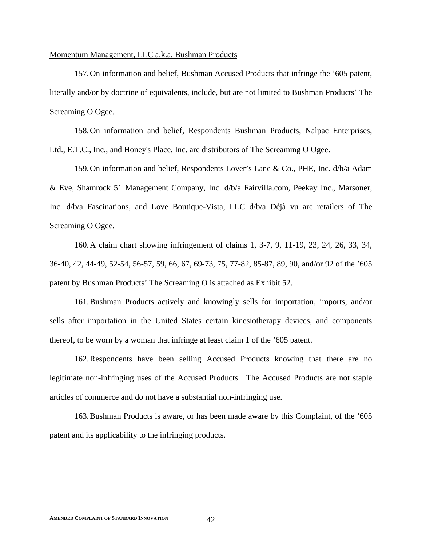## Momentum Management, LLC a.k.a. Bushman Products

157.On information and belief, Bushman Accused Products that infringe the '605 patent, literally and/or by doctrine of equivalents, include, but are not limited to Bushman Products' The Screaming O Ogee.

158.On information and belief, Respondents Bushman Products, Nalpac Enterprises, Ltd., E.T.C., Inc., and Honey's Place, Inc. are distributors of The Screaming O Ogee.

159.On information and belief, Respondents Lover's Lane & Co., PHE, Inc. d/b/a Adam & Eve, Shamrock 51 Management Company, Inc. d/b/a Fairvilla.com, Peekay Inc., Marsoner, Inc. d/b/a Fascinations, and Love Boutique-Vista, LLC d/b/a Déjà vu are retailers of The Screaming O Ogee.

160.A claim chart showing infringement of claims 1, 3-7, 9, 11-19, 23, 24, 26, 33, 34, 36-40, 42, 44-49, 52-54, 56-57, 59, 66, 67, 69-73, 75, 77-82, 85-87, 89, 90, and/or 92 of the '605 patent by Bushman Products' The Screaming O is attached as Exhibit 52.

161.Bushman Products actively and knowingly sells for importation, imports, and/or sells after importation in the United States certain kinesiotherapy devices, and components thereof, to be worn by a woman that infringe at least claim 1 of the '605 patent.

162.Respondents have been selling Accused Products knowing that there are no legitimate non-infringing uses of the Accused Products. The Accused Products are not staple articles of commerce and do not have a substantial non-infringing use.

163.Bushman Products is aware, or has been made aware by this Complaint, of the '605 patent and its applicability to the infringing products.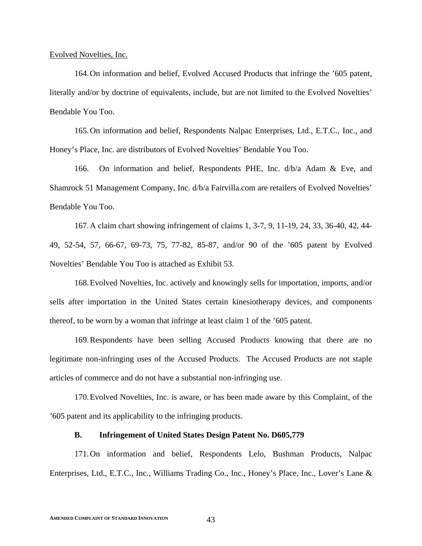Evolved Novelties, Inc.

164.On information and belief, Evolved Accused Products that infringe the '605 patent, literally and/or by doctrine of equivalents, include, but are not limited to the Evolved Novelties' Bendable You Too.

165.On information and belief, Respondents Nalpac Enterprises, Ltd., E.T.C., Inc., and Honey's Place, Inc. are distributors of Evolved Novelties' Bendable You Too.

166. On information and belief, Respondents PHE, Inc. d/b/a Adam & Eve, and Shamrock 51 Management Company, Inc. d/b/a Fairvilla.com are retailers of Evolved Novelties' Bendable You Too.

167.A claim chart showing infringement of claims 1, 3-7, 9, 11-19, 24, 33, 36-40, 42, 44- 49, 52-54, 57, 66-67, 69-73, 75, 77-82, 85-87, and/or 90 of the '605 patent by Evolved Novelties' Bendable You Too is attached as Exhibit 53.

168.Evolved Novelties, Inc. actively and knowingly sells for importation, imports, and/or sells after importation in the United States certain kinesiotherapy devices, and components thereof, to be worn by a woman that infringe at least claim 1 of the '605 patent.

169.Respondents have been selling Accused Products knowing that there are no legitimate non-infringing uses of the Accused Products. The Accused Products are not staple articles of commerce and do not have a substantial non-infringing use.

170.Evolved Novelties, Inc. is aware, or has been made aware by this Complaint, of the '605 patent and its applicability to the infringing products.

#### **B. Infringement of United States Design Patent No. D605,779**

171.On information and belief, Respondents Lelo, Bushman Products, Nalpac Enterprises, Ltd., E.T.C., Inc., Williams Trading Co., Inc., Honey's Place, Inc., Lover's Lane &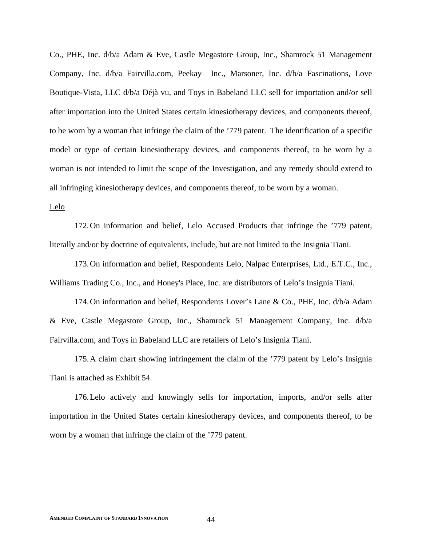Co., PHE, Inc. d/b/a Adam & Eve, Castle Megastore Group, Inc., Shamrock 51 Management Company, Inc. d/b/a Fairvilla.com, Peekay Inc., Marsoner, Inc. d/b/a Fascinations, Love Boutique-Vista, LLC d/b/a Déjà vu, and Toys in Babeland LLC sell for importation and/or sell after importation into the United States certain kinesiotherapy devices, and components thereof, to be worn by a woman that infringe the claim of the '779 patent. The identification of a specific model or type of certain kinesiotherapy devices, and components thereof, to be worn by a woman is not intended to limit the scope of the Investigation, and any remedy should extend to all infringing kinesiotherapy devices, and components thereof, to be worn by a woman.

#### Lelo

172.On information and belief, Lelo Accused Products that infringe the '779 patent, literally and/or by doctrine of equivalents, include, but are not limited to the Insignia Tiani.

173.On information and belief, Respondents Lelo, Nalpac Enterprises, Ltd., E.T.C., Inc., Williams Trading Co., Inc., and Honey's Place, Inc. are distributors of Lelo's Insignia Tiani.

174.On information and belief, Respondents Lover's Lane & Co., PHE, Inc. d/b/a Adam & Eve, Castle Megastore Group, Inc., Shamrock 51 Management Company, Inc. d/b/a Fairvilla.com, and Toys in Babeland LLC are retailers of Lelo's Insignia Tiani.

175.A claim chart showing infringement the claim of the '779 patent by Lelo's Insignia Tiani is attached as Exhibit 54.

176.Lelo actively and knowingly sells for importation, imports, and/or sells after importation in the United States certain kinesiotherapy devices, and components thereof, to be worn by a woman that infringe the claim of the '779 patent.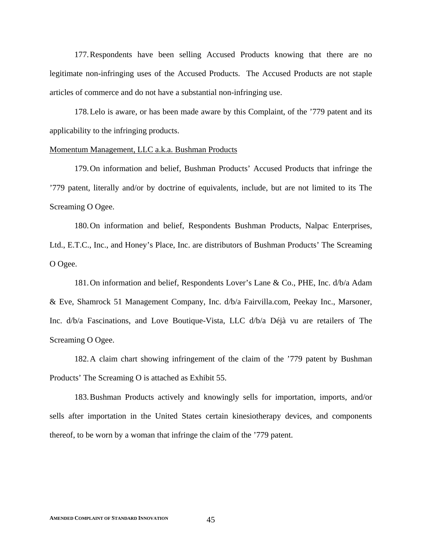177.Respondents have been selling Accused Products knowing that there are no legitimate non-infringing uses of the Accused Products. The Accused Products are not staple articles of commerce and do not have a substantial non-infringing use.

178.Lelo is aware, or has been made aware by this Complaint, of the '779 patent and its applicability to the infringing products.

#### Momentum Management, LLC a.k.a. Bushman Products

179.On information and belief, Bushman Products' Accused Products that infringe the '779 patent, literally and/or by doctrine of equivalents, include, but are not limited to its The Screaming O Ogee.

180.On information and belief, Respondents Bushman Products, Nalpac Enterprises, Ltd., E.T.C., Inc., and Honey's Place, Inc. are distributors of Bushman Products' The Screaming O Ogee.

181.On information and belief, Respondents Lover's Lane & Co., PHE, Inc. d/b/a Adam & Eve, Shamrock 51 Management Company, Inc. d/b/a Fairvilla.com, Peekay Inc., Marsoner, Inc. d/b/a Fascinations, and Love Boutique-Vista, LLC d/b/a Déjà vu are retailers of The Screaming O Ogee.

182.A claim chart showing infringement of the claim of the '779 patent by Bushman Products' The Screaming O is attached as Exhibit 55.

183.Bushman Products actively and knowingly sells for importation, imports, and/or sells after importation in the United States certain kinesiotherapy devices, and components thereof, to be worn by a woman that infringe the claim of the '779 patent.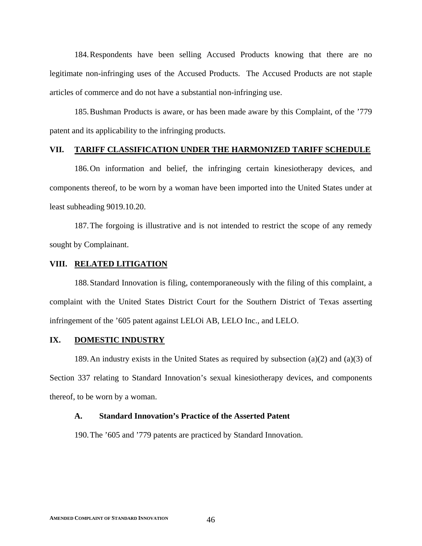184.Respondents have been selling Accused Products knowing that there are no legitimate non-infringing uses of the Accused Products. The Accused Products are not staple articles of commerce and do not have a substantial non-infringing use.

185.Bushman Products is aware, or has been made aware by this Complaint, of the '779 patent and its applicability to the infringing products.

#### **VII. TARIFF CLASSIFICATION UNDER THE HARMONIZED TARIFF SCHEDULE**

186.On information and belief, the infringing certain kinesiotherapy devices, and components thereof, to be worn by a woman have been imported into the United States under at least subheading 9019.10.20.

187.The forgoing is illustrative and is not intended to restrict the scope of any remedy sought by Complainant.

#### **VIII. RELATED LITIGATION**

188.Standard Innovation is filing, contemporaneously with the filing of this complaint, a complaint with the United States District Court for the Southern District of Texas asserting infringement of the '605 patent against LELOi AB, LELO Inc., and LELO.

## **IX. DOMESTIC INDUSTRY**

189. An industry exists in the United States as required by subsection (a)(2) and (a)(3) of Section 337 relating to Standard Innovation's sexual kinesiotherapy devices, and components thereof, to be worn by a woman.

#### **A. Standard Innovation's Practice of the Asserted Patent**

190.The '605 and '779 patents are practiced by Standard Innovation.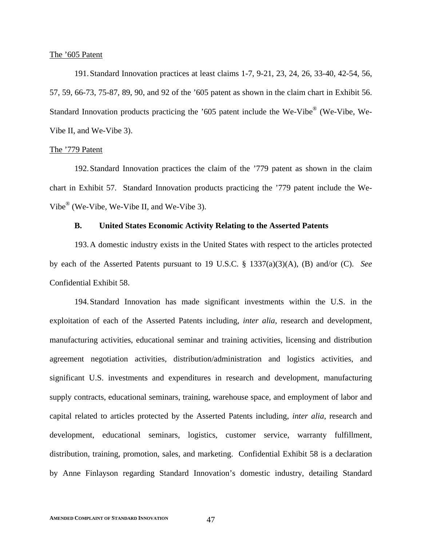#### The '605 Patent

191.Standard Innovation practices at least claims 1-7, 9-21, 23, 24, 26, 33-40, 42-54, 56, 57, 59, 66-73, 75-87, 89, 90, and 92 of the '605 patent as shown in the claim chart in Exhibit 56. Standard Innovation products practicing the '605 patent include the We-Vibe® (We-Vibe, We-Vibe II, and We-Vibe 3).

#### The '779 Patent

192.Standard Innovation practices the claim of the '779 patent as shown in the claim chart in Exhibit 57. Standard Innovation products practicing the '779 patent include the We-Vibe® (We-Vibe, We-Vibe II, and We-Vibe 3).

# **B. United States Economic Activity Relating to the Asserted Patents**

193.A domestic industry exists in the United States with respect to the articles protected by each of the Asserted Patents pursuant to 19 U.S.C. § 1337(a)(3)(A), (B) and/or (C). *See* Confidential Exhibit 58.

194.Standard Innovation has made significant investments within the U.S. in the exploitation of each of the Asserted Patents including, *inter alia*, research and development, manufacturing activities, educational seminar and training activities, licensing and distribution agreement negotiation activities, distribution/administration and logistics activities, and significant U.S. investments and expenditures in research and development, manufacturing supply contracts, educational seminars, training, warehouse space, and employment of labor and capital related to articles protected by the Asserted Patents including, *inter alia*, research and development, educational seminars, logistics, customer service, warranty fulfillment, distribution, training, promotion, sales, and marketing. Confidential Exhibit 58 is a declaration by Anne Finlayson regarding Standard Innovation's domestic industry, detailing Standard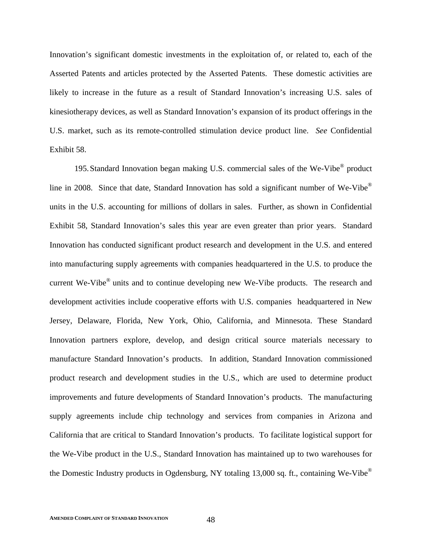Innovation's significant domestic investments in the exploitation of, or related to, each of the Asserted Patents and articles protected by the Asserted Patents. These domestic activities are likely to increase in the future as a result of Standard Innovation's increasing U.S. sales of kinesiotherapy devices, as well as Standard Innovation's expansion of its product offerings in the U.S. market, such as its remote-controlled stimulation device product line. *See* Confidential Exhibit 58.

195.Standard Innovation began making U.S. commercial sales of the We-Vibe® product line in 2008. Since that date, Standard Innovation has sold a significant number of We-Vibe® units in the U.S. accounting for millions of dollars in sales. Further, as shown in Confidential Exhibit 58, Standard Innovation's sales this year are even greater than prior years. Standard Innovation has conducted significant product research and development in the U.S. and entered into manufacturing supply agreements with companies headquartered in the U.S. to produce the current We-Vibe® units and to continue developing new We-Vibe products. The research and development activities include cooperative efforts with U.S. companies headquartered in New Jersey, Delaware, Florida, New York, Ohio, California, and Minnesota. These Standard Innovation partners explore, develop, and design critical source materials necessary to manufacture Standard Innovation's products. In addition, Standard Innovation commissioned product research and development studies in the U.S., which are used to determine product improvements and future developments of Standard Innovation's products. The manufacturing supply agreements include chip technology and services from companies in Arizona and California that are critical to Standard Innovation's products. To facilitate logistical support for the We-Vibe product in the U.S., Standard Innovation has maintained up to two warehouses for the Domestic Industry products in Ogdensburg, NY totaling 13,000 sq. ft., containing We-Vibe®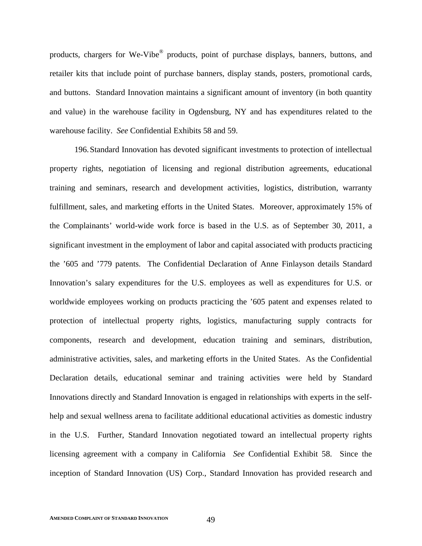products, chargers for We-Vibe® products, point of purchase displays, banners, buttons, and retailer kits that include point of purchase banners, display stands, posters, promotional cards, and buttons. Standard Innovation maintains a significant amount of inventory (in both quantity and value) in the warehouse facility in Ogdensburg, NY and has expenditures related to the warehouse facility. *See* Confidential Exhibits 58 and 59.

196.Standard Innovation has devoted significant investments to protection of intellectual property rights, negotiation of licensing and regional distribution agreements, educational training and seminars, research and development activities, logistics, distribution, warranty fulfillment, sales, and marketing efforts in the United States. Moreover, approximately 15% of the Complainants' world-wide work force is based in the U.S. as of September 30, 2011, a significant investment in the employment of labor and capital associated with products practicing the '605 and '779 patents. The Confidential Declaration of Anne Finlayson details Standard Innovation's salary expenditures for the U.S. employees as well as expenditures for U.S. or worldwide employees working on products practicing the '605 patent and expenses related to protection of intellectual property rights, logistics, manufacturing supply contracts for components, research and development, education training and seminars, distribution, administrative activities, sales, and marketing efforts in the United States. As the Confidential Declaration details, educational seminar and training activities were held by Standard Innovations directly and Standard Innovation is engaged in relationships with experts in the selfhelp and sexual wellness arena to facilitate additional educational activities as domestic industry in the U.S. Further, Standard Innovation negotiated toward an intellectual property rights licensing agreement with a company in California *See* Confidential Exhibit 58. Since the inception of Standard Innovation (US) Corp., Standard Innovation has provided research and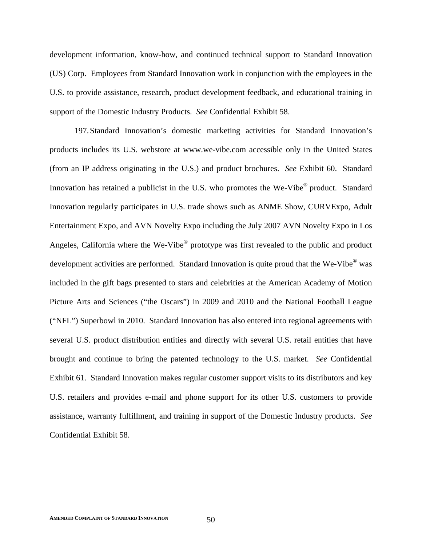development information, know-how, and continued technical support to Standard Innovation (US) Corp. Employees from Standard Innovation work in conjunction with the employees in the U.S. to provide assistance, research, product development feedback, and educational training in support of the Domestic Industry Products. *See* Confidential Exhibit 58.

197.Standard Innovation's domestic marketing activities for Standard Innovation's products includes its U.S. webstore at www.we-vibe.com accessible only in the United States (from an IP address originating in the U.S.) and product brochures. *See* Exhibit 60. Standard Innovation has retained a publicist in the U.S. who promotes the We-Vibe<sup>®</sup> product. Standard Innovation regularly participates in U.S. trade shows such as ANME Show, CURVExpo, Adult Entertainment Expo, and AVN Novelty Expo including the July 2007 AVN Novelty Expo in Los Angeles, California where the We-Vibe<sup>®</sup> prototype was first revealed to the public and product development activities are performed. Standard Innovation is quite proud that the We-Vibe<sup>®</sup> was included in the gift bags presented to stars and celebrities at the American Academy of Motion Picture Arts and Sciences ("the Oscars") in 2009 and 2010 and the National Football League ("NFL") Superbowl in 2010. Standard Innovation has also entered into regional agreements with several U.S. product distribution entities and directly with several U.S. retail entities that have brought and continue to bring the patented technology to the U.S. market. *See* Confidential Exhibit 61. Standard Innovation makes regular customer support visits to its distributors and key U.S. retailers and provides e-mail and phone support for its other U.S. customers to provide assistance, warranty fulfillment, and training in support of the Domestic Industry products. *See* Confidential Exhibit 58.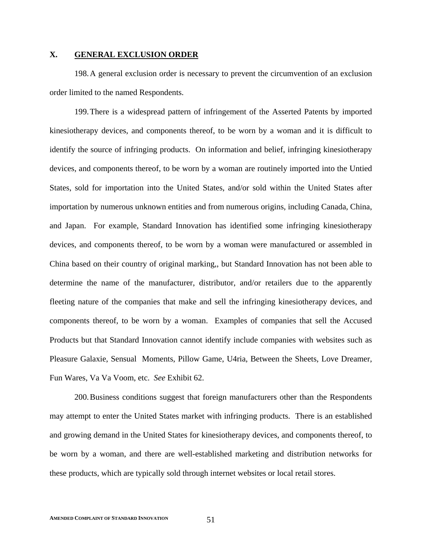# **X. GENERAL EXCLUSION ORDER**

198.A general exclusion order is necessary to prevent the circumvention of an exclusion order limited to the named Respondents.

199.There is a widespread pattern of infringement of the Asserted Patents by imported kinesiotherapy devices, and components thereof, to be worn by a woman and it is difficult to identify the source of infringing products. On information and belief, infringing kinesiotherapy devices, and components thereof, to be worn by a woman are routinely imported into the Untied States, sold for importation into the United States, and/or sold within the United States after importation by numerous unknown entities and from numerous origins, including Canada, China, and Japan. For example, Standard Innovation has identified some infringing kinesiotherapy devices, and components thereof, to be worn by a woman were manufactured or assembled in China based on their country of original marking,, but Standard Innovation has not been able to determine the name of the manufacturer, distributor, and/or retailers due to the apparently fleeting nature of the companies that make and sell the infringing kinesiotherapy devices, and components thereof, to be worn by a woman. Examples of companies that sell the Accused Products but that Standard Innovation cannot identify include companies with websites such as Pleasure Galaxie, Sensual Moments, Pillow Game, U4ria, Between the Sheets, Love Dreamer, Fun Wares, Va Va Voom, etc. *See* Exhibit 62.

200.Business conditions suggest that foreign manufacturers other than the Respondents may attempt to enter the United States market with infringing products. There is an established and growing demand in the United States for kinesiotherapy devices, and components thereof, to be worn by a woman, and there are well-established marketing and distribution networks for these products, which are typically sold through internet websites or local retail stores.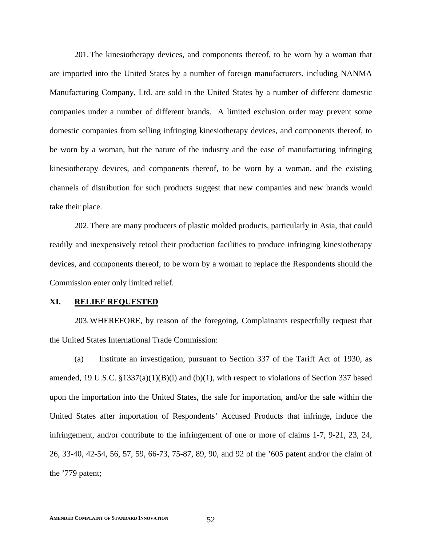201.The kinesiotherapy devices, and components thereof, to be worn by a woman that are imported into the United States by a number of foreign manufacturers, including NANMA Manufacturing Company, Ltd. are sold in the United States by a number of different domestic companies under a number of different brands. A limited exclusion order may prevent some domestic companies from selling infringing kinesiotherapy devices, and components thereof, to be worn by a woman, but the nature of the industry and the ease of manufacturing infringing kinesiotherapy devices, and components thereof, to be worn by a woman, and the existing channels of distribution for such products suggest that new companies and new brands would take their place.

202.There are many producers of plastic molded products, particularly in Asia, that could readily and inexpensively retool their production facilities to produce infringing kinesiotherapy devices, and components thereof, to be worn by a woman to replace the Respondents should the Commission enter only limited relief.

# **XI. RELIEF REQUESTED**

203.WHEREFORE, by reason of the foregoing, Complainants respectfully request that the United States International Trade Commission:

(a) Institute an investigation, pursuant to Section 337 of the Tariff Act of 1930, as amended, 19 U.S.C.  $\S 1337(a)(1)(B)(i)$  and (b)(1), with respect to violations of Section 337 based upon the importation into the United States, the sale for importation, and/or the sale within the United States after importation of Respondents' Accused Products that infringe, induce the infringement, and/or contribute to the infringement of one or more of claims 1-7, 9-21, 23, 24, 26, 33-40, 42-54, 56, 57, 59, 66-73, 75-87, 89, 90, and 92 of the '605 patent and/or the claim of the '779 patent;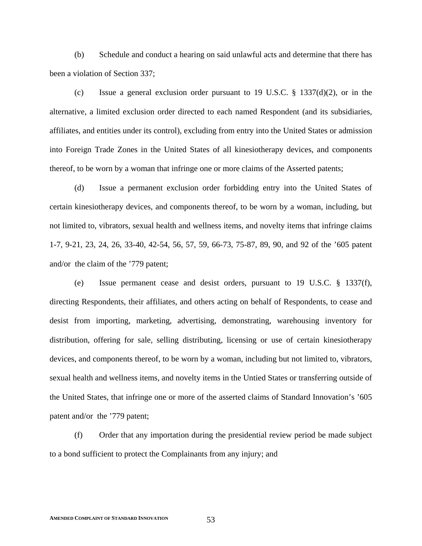(b) Schedule and conduct a hearing on said unlawful acts and determine that there has been a violation of Section 337;

(c) Issue a general exclusion order pursuant to 19 U.S.C. § 1337(d)(2), or in the alternative, a limited exclusion order directed to each named Respondent (and its subsidiaries, affiliates, and entities under its control), excluding from entry into the United States or admission into Foreign Trade Zones in the United States of all kinesiotherapy devices, and components thereof, to be worn by a woman that infringe one or more claims of the Asserted patents;

(d) Issue a permanent exclusion order forbidding entry into the United States of certain kinesiotherapy devices, and components thereof, to be worn by a woman, including, but not limited to, vibrators, sexual health and wellness items, and novelty items that infringe claims 1-7, 9-21, 23, 24, 26, 33-40, 42-54, 56, 57, 59, 66-73, 75-87, 89, 90, and 92 of the '605 patent and/or the claim of the '779 patent;

(e) Issue permanent cease and desist orders, pursuant to 19 U.S.C. § 1337(f), directing Respondents, their affiliates, and others acting on behalf of Respondents, to cease and desist from importing, marketing, advertising, demonstrating, warehousing inventory for distribution, offering for sale, selling distributing, licensing or use of certain kinesiotherapy devices, and components thereof, to be worn by a woman, including but not limited to, vibrators, sexual health and wellness items, and novelty items in the Untied States or transferring outside of the United States, that infringe one or more of the asserted claims of Standard Innovation's '605 patent and/or the '779 patent;

(f) Order that any importation during the presidential review period be made subject to a bond sufficient to protect the Complainants from any injury; and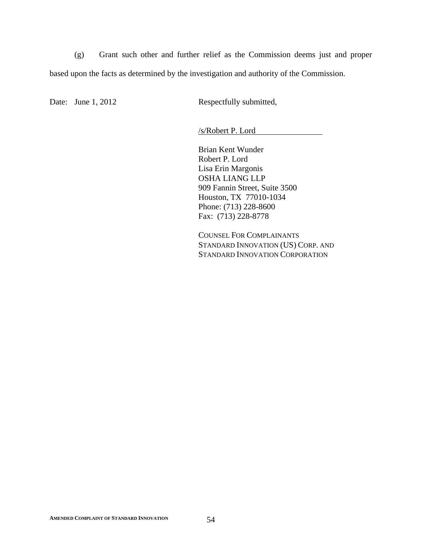(g) Grant such other and further relief as the Commission deems just and proper based upon the facts as determined by the investigation and authority of the Commission.

Date: June 1, 2012 Respectfully submitted,

/s/Robert P. Lord

Brian Kent Wunder Robert P. Lord Lisa Erin Margonis OSHA LIANG LLP 909 Fannin Street, Suite 3500 Houston, TX 77010-1034 Phone: (713) 228-8600 Fax: (713) 228-8778

COUNSEL FOR COMPLAINANTS STANDARD INNOVATION (US) CORP. AND STANDARD INNOVATION CORPORATION